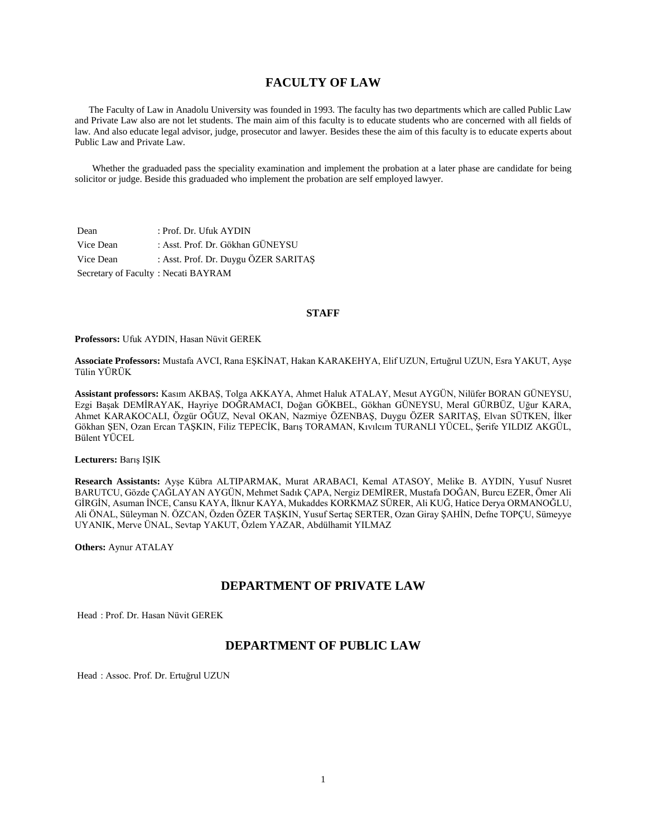# **FACULTY OF LAW**

 The Faculty of Law in Anadolu University was founded in 1993. The faculty has two departments which are called Public Law and Private Law also are not let students. The main aim of this faculty is to educate students who are concerned with all fields of law. And also educate legal advisor, judge, prosecutor and lawyer. Besides these the aim of this faculty is to educate experts about Public Law and Private Law.

 Whether the graduaded pass the speciality examination and implement the probation at a later phase are candidate for being solicitor or judge. Beside this graduaded who implement the probation are self employed lawyer.

| Dean                                | : Prof. Dr. Ufuk AYDIN               |
|-------------------------------------|--------------------------------------|
| Vice Dean                           | : Asst. Prof. Dr. Gökhan GÜNEYSU     |
| Vice Dean                           | : Asst. Prof. Dr. Duygu ÖZER SARITAŞ |
| Secretary of Faculty: Necati BAYRAM |                                      |

### **STAFF**

**Professors:** Ufuk AYDIN, Hasan Nüvit GEREK

**Associate Professors:** Mustafa AVCI, Rana EŞKİNAT, Hakan KARAKEHYA, Elif UZUN, Ertuğrul UZUN, Esra YAKUT, Ayşe Tülin YÜRÜK

**Assistant professors:** Kasım AKBAŞ, Tolga AKKAYA, Ahmet Haluk ATALAY, Mesut AYGÜN, Nilüfer BORAN GÜNEYSU, Ezgi Başak DEMİRAYAK, Hayriye DOĞRAMACI, Doğan GÖKBEL, Gökhan GÜNEYSU, Meral GÜRBÜZ, Uğur KARA, Ahmet KARAKOCALI, Özgür OĞUZ, Neval OKAN, Nazmiye ÖZENBAŞ, Duygu ÖZER SARITAŞ, Elvan SÜTKEN, İlker Gökhan ŞEN, Ozan Ercan TAŞKIN, Filiz TEPECİK, Barış TORAMAN, Kıvılcım TURANLI YÜCEL, Şerife YILDIZ AKGÜL, Bülent YÜCEL

**Lecturers:** Barış IŞIK

**Research Assistants:** Ayşe Kübra ALTIPARMAK, Murat ARABACI, Kemal ATASOY, Melike B. AYDIN, Yusuf Nusret BARUTCU, Gözde ÇAĞLAYAN AYGÜN, Mehmet Sadık ÇAPA, Nergiz DEMİRER, Mustafa DOĞAN, Burcu EZER, Ömer Ali GİRGİN, Asuman İNCE, Cansu KAYA, İlknur KAYA, Mukaddes KORKMAZ SÜRER, Ali KUĞ, Hatice Derya ORMANOĞLU, Ali ÖNAL, Süleyman N. ÖZCAN, Özden ÖZER TAŞKIN, Yusuf Sertaç SERTER, Ozan Giray ŞAHİN, Defne TOPÇU, Sümeyye UYANIK, Merve ÜNAL, Sevtap YAKUT, Özlem YAZAR, Abdülhamit YILMAZ

**Others:** Aynur ATALAY

# **DEPARTMENT OF PRIVATE LAW**

Head : Prof. Dr. Hasan Nüvit GEREK

# **DEPARTMENT OF PUBLIC LAW**

Head : Assoc. Prof. Dr. Ertuğrul UZUN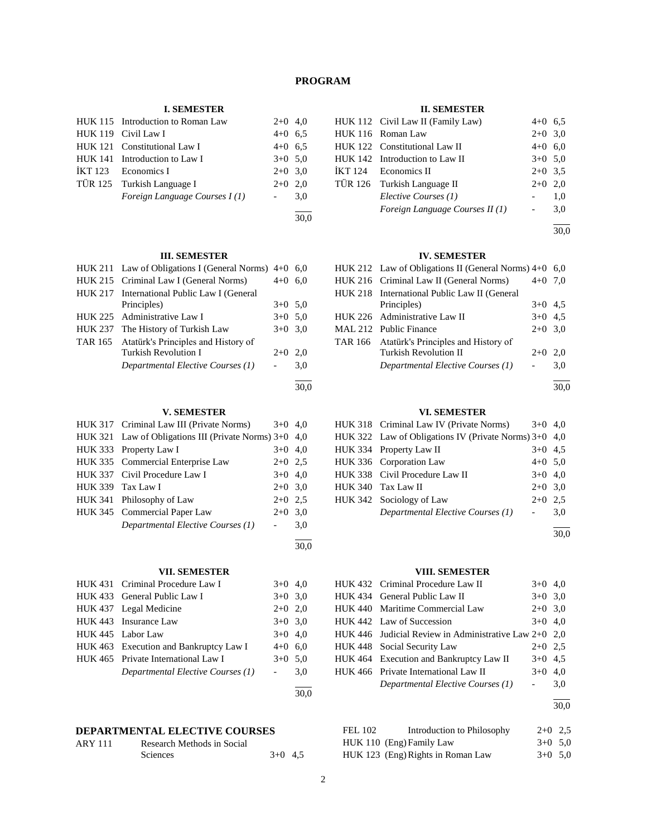# **PROGRAM**

# **I. SEMESTER**

| HUK 115 Introduction to Roman Law | $2+0$ 4,0       |      |
|-----------------------------------|-----------------|------|
| HUK 119 Civil Law I               | $4+0$ 6.5       |      |
| HUK 121 Constitutional Law I      | $4+0$ 6.5       |      |
| HUK 141 Introduction to Law I     | $3+0$ 5.0       |      |
| $IKT 123$ Economics I             | $2+0$ 3.0       |      |
| TÜR 125 Turkish Language I        | $2+0$ 2.0       |      |
| Foreign Language Courses I(1)     | $\sim 10^{-11}$ | 3,0  |
|                                   |                 | 30.0 |

# **III. SEMESTER**

|                | HUK 211 Law of Obligations I (General Norms) $4+0$ 6.0 |           |      |
|----------------|--------------------------------------------------------|-----------|------|
|                | HUK 215 Criminal Law I (General Norms)                 | $4 + 0$   | 6.0  |
|                | HUK 217 International Public Law I (General            |           |      |
|                | Principles)                                            | $3+0$ 5.0 |      |
|                | HUK 225 Administrative Law I                           | $3+0$ 5.0 |      |
| <b>HUK 237</b> | The History of Turkish Law                             | $3+0$ 3.0 |      |
|                | TAR 165 Atatürk's Principles and History of            |           |      |
|                | <b>Turkish Revolution I</b>                            | $2+0$     | 2.0  |
|                | Departmental Elective Courses (1)                      |           | 3,0  |
|                |                                                        |           | 30.0 |

# **V. SEMESTER**

| HUK 317 Criminal Law III (Private Norms)                 | $3+0$ 4.0 |     |
|----------------------------------------------------------|-----------|-----|
| HUK 321 Law of Obligations III (Private Norms) $3+0$ 4,0 |           |     |
| HUK 333 Property Law I                                   | $3+0$ 4,0 |     |
| HUK 335 Commercial Enterprise Law                        | $2+0$ 2.5 |     |
| HUK 337 Civil Procedure Law I                            | $3+0$ 4,0 |     |
| HUK 339 Tax Law I                                        | $2+0$ 3.0 |     |
| HUK 341 Philosophy of Law                                | $2+0$ 2.5 |     |
| HUK 345 Commercial Paper Law                             | $2+0$ 3.0 |     |
| Departmental Elective Courses (1)                        |           | 3,0 |
|                                                          |           |     |

# **VII. SEMESTER**

| HUK 431 Criminal Procedure Law I       | $3+0$ 4,0           |     |
|----------------------------------------|---------------------|-----|
| HUK 433 General Public Law I           | $3+0$ 3.0           |     |
| HUK 437 Legal Medicine                 | $2+0$ 2,0           |     |
| HUK 443 Insurance Law                  | $3+0$ 3.0           |     |
| HUK 445 Labor Law                      | $3+0$ 4,0           |     |
| HUK 463 Execution and Bankruptcy Law I | $4+0$ 6.0           |     |
| HUK 465 Private International Law I    | $3+0$ 5.0           |     |
| Departmental Elective Courses (1)      | $\omega_{\rm{max}}$ | 3,0 |
|                                        |                     |     |

# **DEPARTMENTAL ELECTIVE COURSES**

| <b>ARY 111</b> | Research Methods in Social |           |  |
|----------------|----------------------------|-----------|--|
|                | <b>Sciences</b>            | $3+0$ 4.5 |  |

#### **II. SEMESTER**

|  | HUK 112 Civil Law II (Family Law) | $4+0$ 6.5 |     |
|--|-----------------------------------|-----------|-----|
|  | HUK 116 Roman Law                 | $2+0$ 3,0 |     |
|  | HUK 122 Constitutional Law II     | $4+0$ 6.0 |     |
|  | HUK 142 Introduction to Law II    | $3+0$ 5.0 |     |
|  | IKT 124 Economics II              | $2+0$ 3.5 |     |
|  | TÜR 126 Turkish Language II       | $2+0$     | 2.0 |
|  | Elective Courses (1)              |           | 1.0 |
|  | Foreign Language Courses II (1)   |           | 3,0 |
|  |                                   |           |     |

30,0

# **IV. SEMESTER**

| HUK 212 Law of Obligations II (General Norms) $4+0$ |           | 6.0 |
|-----------------------------------------------------|-----------|-----|
| HUK 216 Criminal Law II (General Norms)             | $4 + 0$   | 7.0 |
| HUK 218 International Public Law II (General        |           |     |
| Principles)                                         | $3+0$ 4.5 |     |
| HUK 226 Administrative Law II                       | $3+0$ 4.5 |     |
| MAL 212 Public Finance                              | $2+0$ 3,0 |     |
| TAR 166 Atatürk's Principles and History of         |           |     |
| <b>Turkish Revolution II</b>                        | $2+0$     | 2.0 |
| Departmental Elective Courses (1)                   |           | 3.0 |
|                                                     |           |     |

30,0

# **VI. SEMESTER**

| HUK 318 Criminal Law IV (Private Norms)                 | $3+0$ 4.0 |     |
|---------------------------------------------------------|-----------|-----|
| HUK 322 Law of Obligations IV (Private Norms) $3+0$ 4,0 |           |     |
| HUK 334 Property Law II                                 | $3+0$ 4.5 |     |
| HUK 336 Corporation Law                                 | $4+0$ 5.0 |     |
| HUK 338 Civil Procedure Law II                          | $3+0$ 4.0 |     |
| HUK 340 Tax Law II                                      | $2+0$ 3,0 |     |
| HUK 342 Sociology of Law                                | $2+0$ 2.5 |     |
| Departmental Elective Courses (1)                       |           | 3,0 |
|                                                         |           |     |

30,0

# **VIII. SEMESTER**

| HUK 432 Criminal Procedure Law II                       | $3+0$ 4.0 |     |
|---------------------------------------------------------|-----------|-----|
| HUK 434 General Public Law II                           | $3+0$ 3,0 |     |
| HUK 440 Maritime Commercial Law                         | $2+0$ 3,0 |     |
| HUK 442 Law of Succession                               | $3+0$ 4.0 |     |
| HUK 446 Judicial Review in Administrative Law $2+0$ 2.0 |           |     |
| HUK 448 Social Security Law                             | $2+0$ 2.5 |     |
| HUK 464 Execution and Bankruptcy Law II                 | $3+0$ 4.5 |     |
| HUK 466 Private International Law II                    | $3+0$ 4.0 |     |
| Departmental Elective Courses (1)                       |           | 3,0 |
|                                                         |           |     |

30,0

| FEL 102 | Introduction to Philosophy        | $2+0$ 2.5 |  |
|---------|-----------------------------------|-----------|--|
|         | HUK 110 (Eng) Family Law          | $3+0$ 5.0 |  |
|         | HUK 123 (Eng) Rights in Roman Law | $3+0.50$  |  |

30,0

30,0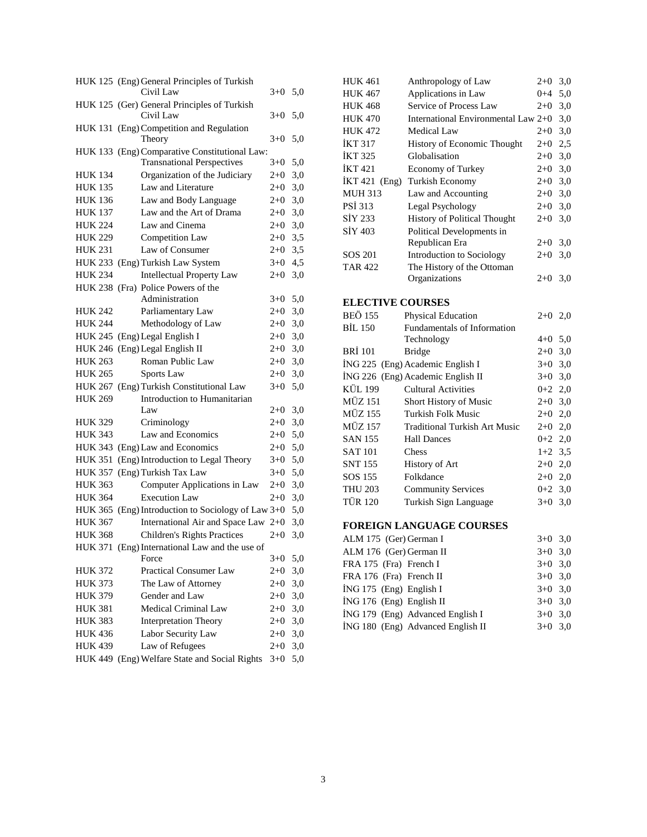|                | HUK 125 (Eng) General Principles of Turkish<br>Civil Law | $3+0$     | 5,0   |
|----------------|----------------------------------------------------------|-----------|-------|
|                |                                                          |           |       |
|                | HUK 125 (Ger) General Principles of Turkish<br>Civil Law | $3+0$     | 5,0   |
|                | HUK 131 (Eng) Competition and Regulation                 |           |       |
|                | Theory                                                   | $3+0$     | 5,0   |
|                | HUK 133 (Eng) Comparative Constitutional Law:            |           |       |
|                | <b>Transnational Perspectives</b>                        | $3+0$     | 5,0   |
| <b>HUK 134</b> | Organization of the Judiciary                            | $2 + 0$   | 3,0   |
| <b>HUK 135</b> | Law and Literature                                       | $2 + 0$   | 3,0   |
| <b>HUK 136</b> | Law and Body Language                                    | $2 + 0$   | 3,0   |
| <b>HUK 137</b> | Law and the Art of Drama                                 | $2 + 0$   | $3,0$ |
| <b>HUK 224</b> | Law and Cinema                                           | $2 + 0$   | 3,0   |
| <b>HUK 229</b> | Competition Law                                          | $2+0$ 3,5 |       |
| <b>HUK 231</b> | Law of Consumer                                          | $2 + 0$   | 3,5   |
|                | HUK 233 (Eng) Turkish Law System                         | $3+0$     | 4,5   |
| <b>HUK 234</b> | <b>Intellectual Property Law</b>                         | $2 + 0$   | 3,0   |
|                | HUK 238 (Fra) Police Powers of the                       |           |       |
|                | Administration                                           | $3+0$     | 5,0   |
| <b>HUK 242</b> | Parliamentary Law                                        | $2+0$     | 3,0   |
| <b>HUK 244</b> | Methodology of Law                                       | $2 + 0$   | $3,0$ |
| <b>HUK 245</b> | (Eng) Legal English I                                    | $2 + 0$   | 3,0   |
|                | HUK 246 (Eng) Legal English II                           | $2 + 0$   | 3,0   |
| <b>HUK 263</b> | Roman Public Law                                         | $2 + 0$   | $3,0$ |
| <b>HUK 265</b> | Sports Law                                               | $2 + 0$   | 3,0   |
|                | HUK 267 (Eng) Turkish Constitutional Law                 | $3+0$     | 5,0   |
| <b>HUK 269</b> | Introduction to Humanitarian                             |           |       |
|                | Law                                                      | $2 + 0$   | 3,0   |
| <b>HUK 329</b> | Criminology                                              | $2 + 0$   | 3,0   |
| <b>HUK 343</b> | Law and Economics                                        | $2 + 0$   | 5,0   |
|                | HUK 343 (Eng) Law and Economics                          | $2 + 0$   | 5,0   |
| <b>HUK 351</b> | (Eng) Introduction to Legal Theory                       | $3+0$     | 5,0   |
|                | HUK 357 (Eng) Turkish Tax Law                            | $3+0$     | 5,0   |
| <b>HUK 363</b> | Computer Applications in Law                             | $2 + 0$   | 3,0   |
| <b>HUK 364</b> | <b>Execution Law</b>                                     | $2 + 0$   | 3,0   |
|                | HUK 365 (Eng) Introduction to Sociology of Law 3+0       |           | 5,0   |
| <b>HUK 367</b> | International Air and Space Law 2+0                      |           | 3,0   |
| <b>HUK 368</b> | <b>Children's Rights Practices</b>                       | $2+0$     | 3,0   |
|                | HUK 371 (Eng) International Law and the use of           |           |       |
|                | Force                                                    | $3+0$     | 5,0   |
| <b>HUK 372</b> | Practical Consumer Law                                   | $2 + 0$   | 3,0   |
| <b>HUK 373</b> | The Law of Attorney                                      | $2+0$     | 3,0   |
| <b>HUK 379</b> | Gender and Law                                           | $2 + 0$   | 3,0   |
| <b>HUK 381</b> | Medical Criminal Law                                     | $2 + 0$   | 3,0   |
| <b>HUK 383</b> | <b>Interpretation Theory</b>                             | $2+0$     | 3,0   |
| <b>HUK 436</b> | Labor Security Law                                       | $2 + 0$   | $3,0$ |
| <b>HUK 439</b> | Law of Refugees                                          | $2 + 0$   | 3,0   |
|                | HUK 449 (Eng) Welfare State and Social Rights            | $3 + 0$   | 5,0   |

|                         | <b>HUK 461</b>   | Anthropology of Law                                      | $2 + 0$   | 3,0 |  |
|-------------------------|------------------|----------------------------------------------------------|-----------|-----|--|
|                         | <b>HUK 467</b>   | Applications in Law                                      | $0 + 4$   | 5,0 |  |
|                         | <b>HUK 468</b>   | Service of Process Law                                   | $2+0$     | 3,0 |  |
|                         | <b>HUK 470</b>   | International Environmental Law $2+0$                    |           | 3,0 |  |
|                         | <b>HUK 472</b>   | Medical Law                                              | $2+0$     | 3,0 |  |
|                         | <b>İKT 317</b>   | History of Economic Thought                              | $2 + 0$   | 2,5 |  |
|                         | <b>İKT 325</b>   | Globalisation                                            | $2 + 0$   | 3,0 |  |
|                         | <b>İKT</b> 421   | <b>Economy of Turkey</b>                                 | $2 + 0$   | 3,0 |  |
|                         | İKT 421<br>(Eng) | <b>Turkish Economy</b>                                   | $2+0$     | 3,0 |  |
|                         | <b>MUH 313</b>   | Law and Accounting                                       | $2+0$     | 3,0 |  |
|                         | <b>PSİ 313</b>   | Legal Psychology                                         | $2+0$     | 3,0 |  |
|                         | SİY 233          | <b>History of Political Thought</b>                      | $2 + 0$   | 3,0 |  |
|                         | <b>SİY 403</b>   | Political Developments in                                |           |     |  |
|                         |                  | Republican Era                                           | $2+0$     | 3,0 |  |
|                         | SOS 201          | Introduction to Sociology                                | $2 + 0$   | 3,0 |  |
|                         | <b>TAR 422</b>   | The History of the Ottoman                               |           |     |  |
|                         |                  | Organizations                                            | $2+0$     | 3,0 |  |
| <b>ELECTIVE COURSES</b> |                  |                                                          |           |     |  |
|                         |                  |                                                          |           |     |  |
|                         | <b>BEÖ 155</b>   |                                                          | $2+0$     | 2,0 |  |
|                         | <b>BİL 150</b>   | Physical Education<br><b>Fundamentals of Information</b> |           |     |  |
|                         |                  | Technology                                               | $4+0$ 5,0 |     |  |
|                         | <b>BRI</b> 101   | <b>Bridge</b>                                            | $2+0$     | 3,0 |  |
|                         |                  | İNG 225 (Eng) Academic English I                         | $3+0$     | 3,0 |  |
|                         |                  | İNG 226 (Eng) Academic English II                        | $3 + 0$   | 3,0 |  |
|                         | <b>KÜL 199</b>   | <b>Cultural Activities</b>                               | $0 + 2$   | 2,0 |  |
|                         | <b>MÜZ 151</b>   | Short History of Music                                   | $2 + 0$   | 3,0 |  |
|                         | <b>MÜZ 155</b>   | <b>Turkish Folk Music</b>                                | $2 + 0$   | 2,0 |  |
|                         | <b>MÜZ 157</b>   | <b>Traditional Turkish Art Music</b>                     | $2+0$     | 2,0 |  |
|                         | <b>SAN 155</b>   | <b>Hall Dances</b>                                       | $0 + 2$   | 2,0 |  |
|                         | <b>SAT 101</b>   | Chess                                                    | $1+2$     | 3,5 |  |
|                         | <b>SNT 155</b>   | History of Art                                           | $2+0$ 2,0 |     |  |
|                         | SOS 155          | Folkdance                                                | $2+0$ 2,0 |     |  |
|                         | <b>THU 203</b>   | <b>Community Services</b>                                | $0 + 2$   | 3,0 |  |
|                         | <b>TÜR 120</b>   | Turkish Sign Language                                    | $3+0$     | 3,0 |  |

# **FOREIGN LANGUAGE COURSES**

|                                   | $3+0$ 3.0 |
|-----------------------------------|-----------|
| ALM 176 (Ger) German II           |           |
| FRA 175 (Fra) French I            | $3+0$ 3.0 |
| FRA 176 (Fra) French II           | $3+0$ 3.0 |
| $ING 175$ (Eng) English I         | $3+0$ 3.0 |
| İNG 176 (Eng) English II          | $3+0$ 3.0 |
| İNG 179 (Eng) Advanced English I  | $3+0$ 3.0 |
| ING 180 (Eng) Advanced English II | $3+0$ 3.0 |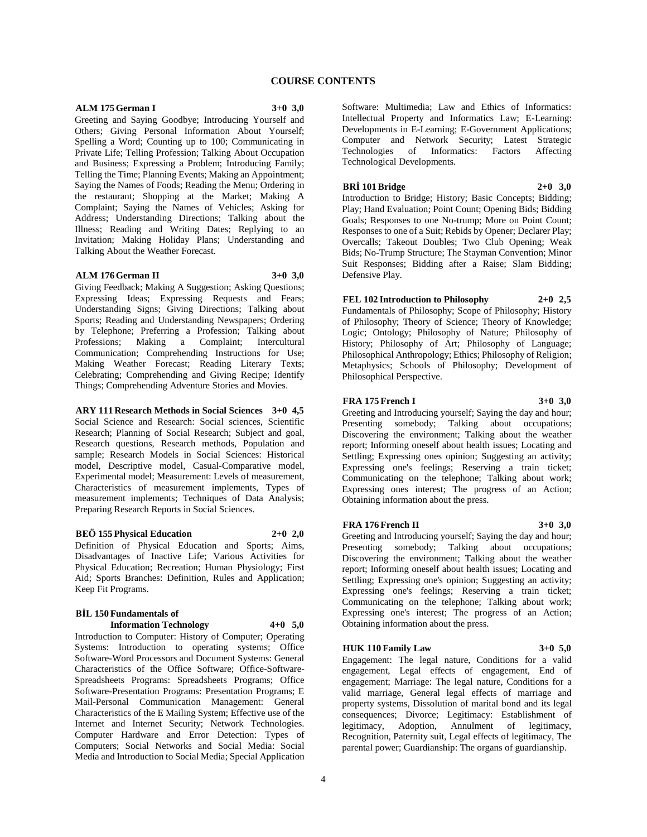# **COURSE CONTENTS**

#### **ALM 175 German I 3+0 3,0**

Greeting and Saying Goodbye; Introducing Yourself and Others; Giving Personal Information About Yourself; Spelling a Word; Counting up to 100; Communicating in Private Life; Telling Profession; Talking About Occupation and Business; Expressing a Problem; Introducing Family; Telling the Time; Planning Events; Making an Appointment; Saying the Names of Foods; Reading the Menu; Ordering in the restaurant; Shopping at the Market; Making A Complaint; Saying the Names of Vehicles; Asking for Address; Understanding Directions; Talking about the Illness; Reading and Writing Dates; Replying to an Invitation; Making Holiday Plans; Understanding and Talking About the Weather Forecast.

#### **ALM 176 German II 3+0 3,0**

Giving Feedback; Making A Suggestion; Asking Questions; Expressing Ideas; Expressing Requests and Fears; Understanding Signs; Giving Directions; Talking about Sports; Reading and Understanding Newspapers; Ordering by Telephone; Preferring a Profession; Talking about<br>Professions; Making a Complaint; Intercultural Complaint; Communication; Comprehending Instructions for Use; Making Weather Forecast; Reading Literary Texts; Celebrating; Comprehending and Giving Recipe; Identify Things; Comprehending Adventure Stories and Movies.

**ARY 111 Research Methods in Social Sciences 3+0 4,5** Social Science and Research: Social sciences, Scientific Research; Planning of Social Research; Subject and goal, Research questions, Research methods, Population and sample; Research Models in Social Sciences: Historical model, Descriptive model, Casual-Comparative model, Experimental model; Measurement: Levels of measurement, Characteristics of measurement implements, Types of measurement implements; Techniques of Data Analysis; Preparing Research Reports in Social Sciences.

#### **BEÖ 155 Physical Education 2+0 2,0**

Definition of Physical Education and Sports; Aims, Disadvantages of Inactive Life; Various Activities for Physical Education; Recreation; Human Physiology; First Aid; Sports Branches: Definition, Rules and Application; Keep Fit Programs.

#### **BİL 150 Fundamentals of Information Technology 4+0 5,0**

Introduction to Computer: History of Computer; Operating Systems: Introduction to operating systems; Office Software-Word Processors and Document Systems: General Characteristics of the Office Software; Office-Software-Spreadsheets Programs: Spreadsheets Programs; Office Software-Presentation Programs: Presentation Programs; E Mail-Personal Communication Management: General Characteristics of the E Mailing System; Effective use of the Internet and Internet Security; Network Technologies. Computer Hardware and Error Detection: Types of Computers; Social Networks and Social Media: Social Media and Introduction to Social Media; Special Application Software: Multimedia; Law and Ethics of Informatics: Intellectual Property and Informatics Law; E-Learning: Developments in E-Learning; E-Government Applications; Computer and Network Security; Latest Strategic Technologies of Informatics: Factors Affecting Technological Developments.

#### **BRİ 101 Bridge 2+0 3,0**

Introduction to Bridge; History; Basic Concepts; Bidding; Play; Hand Evaluation; Point Count; Opening Bids; Bidding Goals; Responses to one No-trump; More on Point Count; Responses to one of a Suit; Rebids by Opener; Declarer Play; Overcalls; Takeout Doubles; Two Club Opening; Weak Bids; No-Trump Structure; The Stayman Convention; Minor Suit Responses; Bidding after a Raise; Slam Bidding; Defensive Play.

### **FEL 102 Introduction to Philosophy 2+0 2,5**

Fundamentals of Philosophy; Scope of Philosophy; History of Philosophy; Theory of Science; Theory of Knowledge; Logic; Ontology; Philosophy of Nature; Philosophy of History; Philosophy of Art; Philosophy of Language; Philosophical Anthropology; Ethics; Philosophy of Religion; Metaphysics; Schools of Philosophy; Development of Philosophical Perspective.

#### **FRA 175 French I 3+0 3,0**

Greeting and Introducing yourself; Saying the day and hour; Presenting somebody; Talking about occupations; Discovering the environment; Talking about the weather report; Informing oneself about health issues; Locating and Settling; Expressing ones opinion; Suggesting an activity; Expressing one's feelings; Reserving a train ticket; Communicating on the telephone; Talking about work; Expressing ones interest; The progress of an Action; Obtaining information about the press.

#### **FRA 176 French II 3+0 3,0**

Greeting and Introducing yourself; Saying the day and hour; Presenting somebody; Talking about occupations; Discovering the environment; Talking about the weather report; Informing oneself about health issues; Locating and Settling; Expressing one's opinion; Suggesting an activity; Expressing one's feelings; Reserving a train ticket; Communicating on the telephone; Talking about work; Expressing one's interest; The progress of an Action; Obtaining information about the press.

#### **HUK 110 Family Law 3+0 5,0**

Engagement: The legal nature, Conditions for a valid engagement, Legal effects of engagement, End of engagement; Marriage: The legal nature, Conditions for a valid marriage, General legal effects of marriage and property systems, Dissolution of marital bond and its legal consequences; Divorce; Legitimacy: Establishment of legitimacy, Adoption, Annulment of legitimacy, Recognition, Paternity suit, Legal effects of legitimacy, The parental power; Guardianship: The organs of guardianship.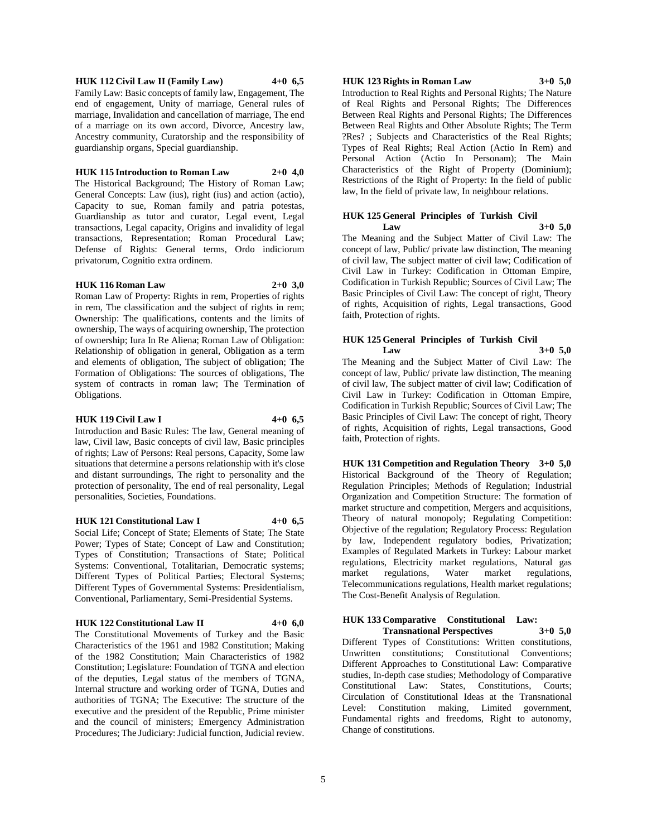### **HUK 112 Civil Law II (Family Law) 4+0 6,5**

Family Law: Basic concepts of family law, Engagement, The end of engagement, Unity of marriage, General rules of marriage, Invalidation and cancellation of marriage, The end of a marriage on its own accord, Divorce, Ancestry law, Ancestry community, Curatorship and the responsibility of guardianship organs, Special guardianship.

#### **HUK 115 Introduction to Roman Law 2+0 4,0**

The Historical Background; The History of Roman Law; General Concepts: Law (ius), right (ius) and action (actio), Capacity to sue, Roman family and patria potestas, Guardianship as tutor and curator, Legal event, Legal transactions, Legal capacity, Origins and invalidity of legal transactions, Representation; Roman Procedural Law; Defense of Rights: General terms, Ordo indiciorum privatorum, Cognitio extra ordinem.

### **HUK 116 Roman Law 2+0 3,0**

Roman Law of Property: Rights in rem, Properties of rights in rem, The classification and the subject of rights in rem; Ownership: The qualifications, contents and the limits of ownership, The ways of acquiring ownership, The protection of ownership; Iura In Re Aliena; Roman Law of Obligation: Relationship of obligation in general, Obligation as a term and elements of obligation, The subject of obligation; The Formation of Obligations: The sources of obligations, The system of contracts in roman law; The Termination of Obligations.

#### **HUK 119 Civil Law I 4+0 6,5**

Introduction and Basic Rules: The law, General meaning of law, Civil law, Basic concepts of civil law, Basic principles of rights; Law of Persons: Real persons, Capacity, Some law situations that determine a persons relationship with it's close and distant surroundings, The right to personality and the protection of personality, The end of real personality, Legal personalities, Societies, Foundations.

# **HUK 121 Constitutional Law I 4+0 6,5**

Social Life; Concept of State; Elements of State; The State Power; Types of State; Concept of Law and Constitution; Types of Constitution; Transactions of State; Political Systems: Conventional, Totalitarian, Democratic systems; Different Types of Political Parties; Electoral Systems; Different Types of Governmental Systems: Presidentialism, Conventional, Parliamentary, Semi-Presidential Systems.

#### **HUK 122 Constitutional Law II 4+0 6,0**

The Constitutional Movements of Turkey and the Basic Characteristics of the 1961 and 1982 Constitution; Making of the 1982 Constitution; Main Characteristics of 1982 Constitution; Legislature: Foundation of TGNA and election of the deputies, Legal status of the members of TGNA, Internal structure and working order of TGNA, Duties and authorities of TGNA; The Executive: The structure of the executive and the president of the Republic, Prime minister and the council of ministers; Emergency Administration Procedures; The Judiciary: Judicial function, Judicial review.

#### **HUK 123 Rights in Roman Law 3+0 5,0**

Introduction to Real Rights and Personal Rights; The Nature of Real Rights and Personal Rights; The Differences Between Real Rights and Personal Rights; The Differences Between Real Rights and Other Absolute Rights; The Term ?Res? ; Subjects and Characteristics of the Real Rights; Types of Real Rights; Real Action (Actio In Rem) and Personal Action (Actio In Personam); The Main Characteristics of the Right of Property (Dominium); Restrictions of the Right of Property: In the field of public law, In the field of private law, In neighbour relations.

### **HUK 125 General Principles of Turkish Civil Law 3+0 5,0**

The Meaning and the Subject Matter of Civil Law: The concept of law, Public/ private law distinction, The meaning of civil law, The subject matter of civil law; Codification of Civil Law in Turkey: Codification in Ottoman Empire, Codification in Turkish Republic; Sources of Civil Law; The Basic Principles of Civil Law: The concept of right, Theory of rights, Acquisition of rights, Legal transactions, Good faith, Protection of rights.

### **HUK 125 General Principles of Turkish Civil Law 3+0 5,0**

The Meaning and the Subject Matter of Civil Law: The concept of law, Public/ private law distinction, The meaning of civil law, The subject matter of civil law; Codification of Civil Law in Turkey: Codification in Ottoman Empire, Codification in Turkish Republic; Sources of Civil Law; The Basic Principles of Civil Law: The concept of right, Theory of rights, Acquisition of rights, Legal transactions, Good faith, Protection of rights.

**HUK 131 Competition and Regulation Theory 3+0 5,0** Historical Background of the Theory of Regulation; Regulation Principles; Methods of Regulation; Industrial Organization and Competition Structure: The formation of market structure and competition, Mergers and acquisitions, Theory of natural monopoly; Regulating Competition: Objective of the regulation; Regulatory Process: Regulation by law, Independent regulatory bodies, Privatization; Examples of Regulated Markets in Turkey: Labour market regulations, Electricity market regulations, Natural gas market regulations, Water market regulations, Telecommunications regulations, Health market regulations; The Cost-Benefit Analysis of Regulation.

#### **HUK 133 Comparative Constitutional Law: Transnational Perspectives 3+0 5,0**

Different Types of Constitutions: Written constitutions, Unwritten constitutions; Constitutional Conventions; Different Approaches to Constitutional Law: Comparative studies, In-depth case studies; Methodology of Comparative Constitutional Law: States, Constitutions, Courts; Circulation of Constitutional Ideas at the Transnational Level: Constitution making, Limited government, Fundamental rights and freedoms, Right to autonomy, Change of constitutions.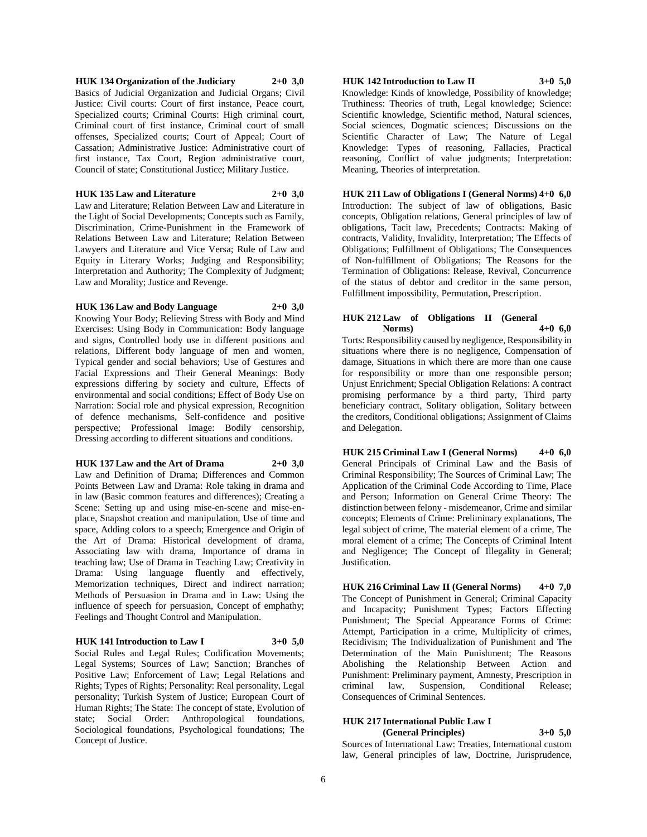### **HUK 134 Organization of the Judiciary 2+0 3,0** Basics of Judicial Organization and Judicial Organs; Civil Justice: Civil courts: Court of first instance, Peace court, Specialized courts; Criminal Courts: High criminal court, Criminal court of first instance, Criminal court of small offenses, Specialized courts; Court of Appeal; Court of Cassation; Administrative Justice: Administrative court of first instance, Tax Court, Region administrative court, Council of state; Constitutional Justice; Military Justice.

#### **HUK 135 Law and Literature 2+0 3,0**

Law and Literature; Relation Between Law and Literature in the Light of Social Developments; Concepts such as Family, Discrimination, Crime-Punishment in the Framework of Relations Between Law and Literature; Relation Between Lawyers and Literature and Vice Versa; Rule of Law and Equity in Literary Works; Judging and Responsibility; Interpretation and Authority; The Complexity of Judgment; Law and Morality; Justice and Revenge.

### **HUK 136 Law and Body Language 2+0 3,0**

Knowing Your Body; Relieving Stress with Body and Mind Exercises: Using Body in Communication: Body language and signs, Controlled body use in different positions and relations, Different body language of men and women, Typical gender and social behaviors; Use of Gestures and Facial Expressions and Their General Meanings: Body expressions differing by society and culture, Effects of environmental and social conditions; Effect of Body Use on Narration: Social role and physical expression, Recognition of defence mechanisms, Self-confidence and positive perspective; Professional Image: Bodily censorship, Dressing according to different situations and conditions.

### **HUK 137 Law and the Art of Drama 2+0 3,0**

Law and Definition of Drama; Differences and Common Points Between Law and Drama: Role taking in drama and in law (Basic common features and differences); Creating a Scene: Setting up and using mise-en-scene and mise-enplace, Snapshot creation and manipulation, Use of time and space, Adding colors to a speech; Emergence and Origin of the Art of Drama: Historical development of drama, Associating law with drama, Importance of drama in teaching law; Use of Drama in Teaching Law; Creativity in Drama: Using language fluently and effectively, Memorization techniques, Direct and indirect narration; Methods of Persuasion in Drama and in Law: Using the influence of speech for persuasion, Concept of emphathy; Feelings and Thought Control and Manipulation.

#### **HUK 141 Introduction to Law I 3+0 5,0**

Social Rules and Legal Rules; Codification Movements; Legal Systems; Sources of Law; Sanction; Branches of Positive Law; Enforcement of Law; Legal Relations and Rights; Types of Rights; Personality: Real personality, Legal personality; Turkish System of Justice; European Court of Human Rights; The State: The concept of state, Evolution of state; Social Order: Anthropological foundations, Sociological foundations, Psychological foundations; The Concept of Justice.

**HUK 142 Introduction to Law II 3+0 5,0**

Knowledge: Kinds of knowledge, Possibility of knowledge; Truthiness: Theories of truth, Legal knowledge; Science: Scientific knowledge, Scientific method, Natural sciences, Social sciences, Dogmatic sciences; Discussions on the Scientific Character of Law; The Nature of Legal Knowledge: Types of reasoning, Fallacies, Practical reasoning, Conflict of value judgments; Interpretation: Meaning, Theories of interpretation.

**HUK 211 Law of Obligations I (General Norms) 4+0 6,0** Introduction: The subject of law of obligations, Basic concepts, Obligation relations, General principles of law of obligations, Tacit law, Precedents; Contracts: Making of contracts, Validity, Invalidity, Interpretation; The Effects of Obligations; Fulfillment of Obligations; The Consequences of Non-fulfillment of Obligations; The Reasons for the Termination of Obligations: Release, Revival, Concurrence of the status of debtor and creditor in the same person, Fulfillment impossibility, Permutation, Prescription.

### **HUK 212 Law of Obligations II (General Norms) 4+0 6,0**

Torts: Responsibility caused by negligence, Responsibility in situations where there is no negligence, Compensation of damage, Situations in which there are more than one cause for responsibility or more than one responsible person; Unjust Enrichment; Special Obligation Relations: A contract promising performance by a third party, Third party beneficiary contract, Solitary obligation, Solitary between the creditors, Conditional obligations; Assignment of Claims and Delegation.

**HUK 215 Criminal Law I (General Norms) 4+0 6,0** General Principals of Criminal Law and the Basis of Criminal Responsibility; The Sources of Criminal Law; The Application of the Criminal Code According to Time, Place and Person; Information on General Crime Theory: The distinction between felony - misdemeanor, Crime and similar concepts; Elements of Crime: Preliminary explanations, The legal subject of crime, The material element of a crime, The moral element of a crime; The Concepts of Criminal Intent and Negligence; The Concept of Illegality in General; Justification.

**HUK 216 Criminal Law II (General Norms) 4+0 7,0** The Concept of Punishment in General; Criminal Capacity and Incapacity; Punishment Types; Factors Effecting Punishment; The Special Appearance Forms of Crime: Attempt, Participation in a crime, Multiplicity of crimes, Recidivism; The Individualization of Punishment and The Determination of the Main Punishment; The Reasons Abolishing the Relationship Between Action and Punishment: Preliminary payment, Amnesty, Prescription in criminal law, Suspension, Conditional Release; Consequences of Criminal Sentences.

# **HUK 217 International Public Law I**

**(General Principles) 3+0 5,0**

Sources of International Law: Treaties, International custom law, General principles of law, Doctrine, Jurisprudence,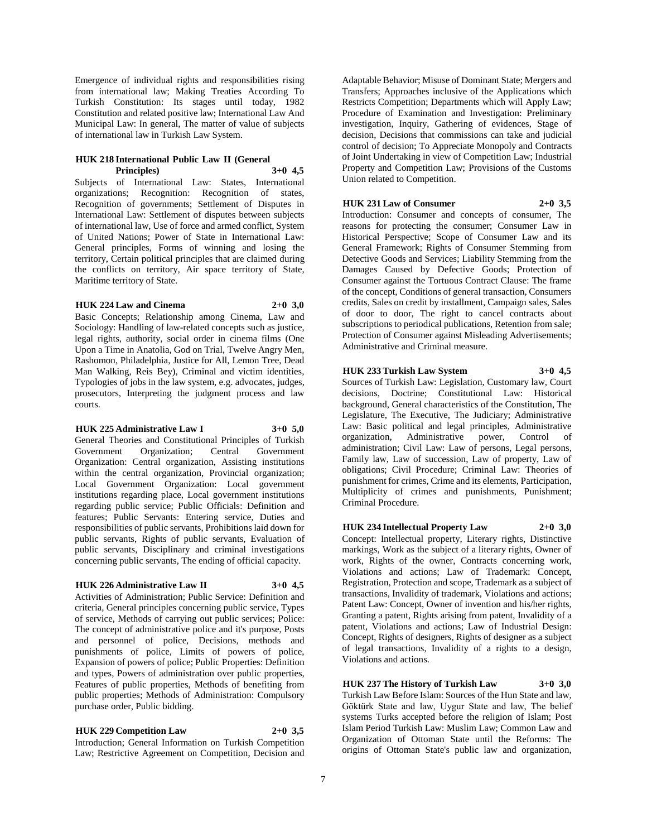Emergence of individual rights and responsibilities rising from international law; Making Treaties According To Turkish Constitution: Its stages until today, 1982 Constitution and related positive law; International Law And Municipal Law: In general, The matter of value of subjects of international law in Turkish Law System.

#### **HUK 218 International Public Law II (General Principles) 3+0 4,5**

Subjects of International Law: States, International organizations; Recognition: Recognition of states, Recognition of governments; Settlement of Disputes in International Law: Settlement of disputes between subjects of international law, Use of force and armed conflict, System of United Nations; Power of State in International Law: General principles, Forms of winning and losing the territory, Certain political principles that are claimed during the conflicts on territory, Air space territory of State, Maritime territory of State.

### **HUK 224 Law and Cinema 2+0 3,0**

Basic Concepts; Relationship among Cinema, Law and Sociology: Handling of law-related concepts such as justice, legal rights, authority, social order in cinema films (One Upon a Time in Anatolia, God on Trial, Twelve Angry Men, Rashomon, Philadelphia, Justice for All, Lemon Tree, Dead Man Walking, Reis Bey), Criminal and victim identities, Typologies of jobs in the law system, e.g. advocates, judges, prosecutors, Interpreting the judgment process and law courts.

#### **HUK 225 Administrative Law I 3+0 5,0**

General Theories and Constitutional Principles of Turkish Government Organization; Central Government Organization: Central organization, Assisting institutions within the central organization, Provincial organization; Local Government Organization: Local government institutions regarding place, Local government institutions regarding public service; Public Officials: Definition and features; Public Servants: Entering service, Duties and responsibilities of public servants, Prohibitions laid down for public servants, Rights of public servants, Evaluation of public servants, Disciplinary and criminal investigations concerning public servants, The ending of official capacity.

# **HUK 226 Administrative Law II 3+0 4,5**

Activities of Administration; Public Service: Definition and criteria, General principles concerning public service, Types of service, Methods of carrying out public services; Police: The concept of administrative police and it's purpose, Posts and personnel of police, Decisions, methods and punishments of police, Limits of powers of police, Expansion of powers of police; Public Properties: Definition and types, Powers of administration over public properties, Features of public properties, Methods of benefiting from public properties; Methods of Administration: Compulsory purchase order, Public bidding.

**HUK 229 Competition Law 2+0 3,5** Introduction; General Information on Turkish Competition Law; Restrictive Agreement on Competition, Decision and

Adaptable Behavior; Misuse of Dominant State; Mergers and Transfers; Approaches inclusive of the Applications which Restricts Competition; Departments which will Apply Law; Procedure of Examination and Investigation: Preliminary investigation, Inquiry, Gathering of evidences, Stage of decision, Decisions that commissions can take and judicial control of decision; To Appreciate Monopoly and Contracts of Joint Undertaking in view of Competition Law; Industrial Property and Competition Law; Provisions of the Customs Union related to Competition.

# **HUK 231 Law of Consumer 2+0 3,5**

Introduction: Consumer and concepts of consumer, The reasons for protecting the consumer; Consumer Law in Historical Perspective; Scope of Consumer Law and its General Framework; Rights of Consumer Stemming from Detective Goods and Services; Liability Stemming from the Damages Caused by Defective Goods; Protection of Consumer against the Tortuous Contract Clause: The frame of the concept, Conditions of general transaction, Consumers credits, Sales on credit by installment, Campaign sales, Sales of door to door, The right to cancel contracts about subscriptions to periodical publications, Retention from sale; Protection of Consumer against Misleading Advertisements; Administrative and Criminal measure.

# **HUK 233 Turkish Law System 3+0 4,5**

Sources of Turkish Law: Legislation, Customary law, Court decisions, Doctrine; Constitutional Law: Historical background, General characteristics of the Constitution, The Legislature, The Executive, The Judiciary; Administrative Law: Basic political and legal principles, Administrative organization, Administrative power, Control of administration; Civil Law: Law of persons, Legal persons, Family law, Law of succession, Law of property, Law of obligations; Civil Procedure; Criminal Law: Theories of punishment for crimes, Crime and its elements, Participation, Multiplicity of crimes and punishments, Punishment; Criminal Procedure.

# **HUK 234 Intellectual Property Law 2+0 3,0**

Concept: Intellectual property, Literary rights, Distinctive markings, Work as the subject of a literary rights, Owner of work, Rights of the owner, Contracts concerning work, Violations and actions; Law of Trademark: Concept, Registration, Protection and scope, Trademark as a subject of transactions, Invalidity of trademark, Violations and actions; Patent Law: Concept, Owner of invention and his/her rights, Granting a patent, Rights arising from patent, Invalidity of a patent, Violations and actions; Law of Industrial Design: Concept, Rights of designers, Rights of designer as a subject of legal transactions, Invalidity of a rights to a design, Violations and actions.

**HUK 237 The History of Turkish Law 3+0 3,0** Turkish Law Before Islam: Sources of the Hun State and law, Göktürk State and law, Uygur State and law, The belief systems Turks accepted before the religion of Islam; Post Islam Period Turkish Law: Muslim Law; Common Law and Organization of Ottoman State until the Reforms: The origins of Ottoman State's public law and organization,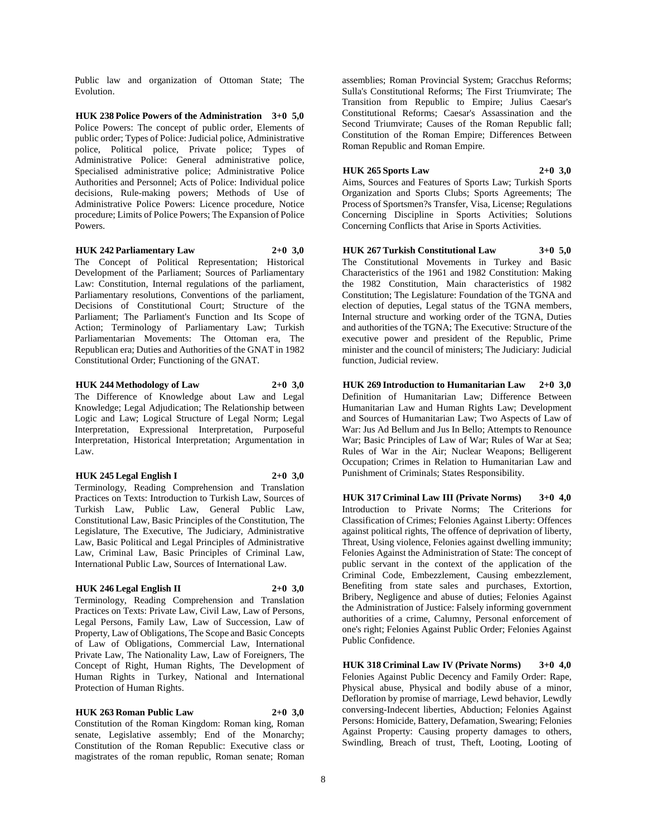Public law and organization of Ottoman State; The Evolution.

**HUK 238 Police Powers of the Administration 3+0 5,0** Police Powers: The concept of public order, Elements of public order; Types of Police: Judicial police, Administrative police, Political police, Private police; Types of Administrative Police: General administrative police, Specialised administrative police; Administrative Police Authorities and Personnel; Acts of Police: Individual police decisions, Rule-making powers; Methods of Use of Administrative Police Powers: Licence procedure, Notice procedure; Limits of Police Powers; The Expansion of Police Powers.

**HUK 242 Parliamentary Law 2+0 3,0**

The Concept of Political Representation; Historical Development of the Parliament; Sources of Parliamentary Law: Constitution, Internal regulations of the parliament, Parliamentary resolutions, Conventions of the parliament, Decisions of Constitutional Court; Structure of the Parliament; The Parliament's Function and Its Scope of Action; Terminology of Parliamentary Law; Turkish Parliamentarian Movements: The Ottoman era, The Republican era; Duties and Authorities of the GNAT in 1982 Constitutional Order; Functioning of the GNAT.

#### **HUK 244 Methodology of Law 2+0 3,0**

The Difference of Knowledge about Law and Legal Knowledge; Legal Adjudication; The Relationship between Logic and Law; Logical Structure of Legal Norm; Legal Interpretation, Expressional Interpretation, Purposeful Interpretation, Historical Interpretation; Argumentation in Law.

### **HUK 245 Legal English I 2+0 3,0**

Terminology, Reading Comprehension and Translation Practices on Texts: Introduction to Turkish Law, Sources of Turkish Law, Public Law, General Public Law, Constitutional Law, Basic Principles of the Constitution, The Legislature, The Executive, The Judiciary, Administrative Law, Basic Political and Legal Principles of Administrative Law, Criminal Law, Basic Principles of Criminal Law, International Public Law, Sources of International Law.

#### **HUK 246 Legal English II 2+0 3,0**

Terminology, Reading Comprehension and Translation Practices on Texts: Private Law, Civil Law, Law of Persons, Legal Persons, Family Law, Law of Succession, Law of Property, Law of Obligations, The Scope and Basic Concepts of Law of Obligations, Commercial Law, International Private Law, The Nationality Law, Law of Foreigners, The Concept of Right, Human Rights, The Development of Human Rights in Turkey, National and International Protection of Human Rights.

**HUK 263 Roman Public Law 2+0 3,0** Constitution of the Roman Kingdom: Roman king, Roman senate, Legislative assembly; End of the Monarchy; Constitution of the Roman Republic: Executive class or magistrates of the roman republic, Roman senate; Roman

assemblies; Roman Provincial System; Gracchus Reforms; Sulla's Constitutional Reforms; The First Triumvirate; The Transition from Republic to Empire; Julius Caesar's Constitutional Reforms; Caesar's Assassination and the Second Triumvirate; Causes of the Roman Republic fall; Constitution of the Roman Empire; Differences Between Roman Republic and Roman Empire.

### **HUK 265 Sports Law 2+0 3,0**

Aims, Sources and Features of Sports Law; Turkish Sports Organization and Sports Clubs; Sports Agreements; The Process of Sportsmen?s Transfer, Visa, License; Regulations Concerning Discipline in Sports Activities; Solutions Concerning Conflicts that Arise in Sports Activities.

### **HUK 267 Turkish Constitutional Law 3+0 5,0**

The Constitutional Movements in Turkey and Basic Characteristics of the 1961 and 1982 Constitution: Making the 1982 Constitution, Main characteristics of 1982 Constitution; The Legislature: Foundation of the TGNA and election of deputies, Legal status of the TGNA members, Internal structure and working order of the TGNA, Duties and authorities of the TGNA; The Executive: Structure of the executive power and president of the Republic, Prime minister and the council of ministers; The Judiciary: Judicial function, Judicial review.

**HUK 269 Introduction to Humanitarian Law 2+0 3,0** Definition of Humanitarian Law; Difference Between Humanitarian Law and Human Rights Law; Development and Sources of Humanitarian Law; Two Aspects of Law of War: Jus Ad Bellum and Jus In Bello; Attempts to Renounce War; Basic Principles of Law of War; Rules of War at Sea; Rules of War in the Air; Nuclear Weapons; Belligerent Occupation; Crimes in Relation to Humanitarian Law and Punishment of Criminals; States Responsibility.

**HUK 317 Criminal Law III (Private Norms) 3+0 4,0** Introduction to Private Norms; The Criterions for Classification of Crimes; Felonies Against Liberty: Offences against political rights, The offence of deprivation of liberty, Threat, Using violence, Felonies against dwelling immunity; Felonies Against the Administration of State: The concept of public servant in the context of the application of the Criminal Code, Embezzlement, Causing embezzlement, Benefiting from state sales and purchases, Extortion, Bribery, Negligence and abuse of duties; Felonies Against the Administration of Justice: Falsely informing government authorities of a crime, Calumny, Personal enforcement of one's right; Felonies Against Public Order; Felonies Against Public Confidence.

**HUK 318 Criminal Law IV (Private Norms) 3+0 4,0** Felonies Against Public Decency and Family Order: Rape, Physical abuse, Physical and bodily abuse of a minor, Defloration by promise of marriage, Lewd behavior, Lewdly conversing-Indecent liberties, Abduction; Felonies Against Persons: Homicide, Battery, Defamation, Swearing; Felonies Against Property: Causing property damages to others, Swindling, Breach of trust, Theft, Looting, Looting of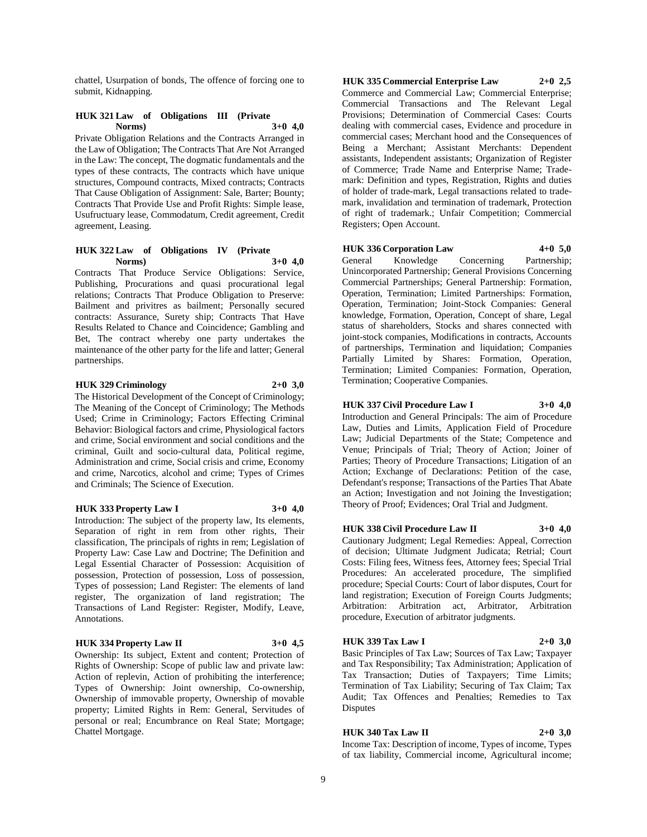chattel, Usurpation of bonds, The offence of forcing one to submit, Kidnapping.

#### **HUK 321 Law of Obligations III (Private Norms) 3+0 4,0**

Private Obligation Relations and the Contracts Arranged in the Law of Obligation; The Contracts That Are Not Arranged in the Law: The concept, The dogmatic fundamentals and the types of these contracts, The contracts which have unique structures, Compound contracts, Mixed contracts; Contracts That Cause Obligation of Assignment: Sale, Barter; Bounty; Contracts That Provide Use and Profit Rights: Simple lease, Usufructuary lease, Commodatum, Credit agreement, Credit agreement, Leasing.

### **HUK 322 Law of Obligations IV (Private Norms) 3+0 4,0**

Contracts That Produce Service Obligations: Service, Publishing, Procurations and quasi procurational legal relations; Contracts That Produce Obligation to Preserve: Bailment and privitres as bailment; Personally secured contracts: Assurance, Surety ship; Contracts That Have Results Related to Chance and Coincidence; Gambling and Bet, The contract whereby one party undertakes the maintenance of the other party for the life and latter; General partnerships.

#### **HUK 329 Criminology 2+0 3,0**

The Historical Development of the Concept of Criminology; The Meaning of the Concept of Criminology; The Methods Used; Crime in Criminology; Factors Effecting Criminal Behavior: Biological factors and crime, Physiological factors and crime, Social environment and social conditions and the criminal, Guilt and socio-cultural data, Political regime, Administration and crime, Social crisis and crime, Economy and crime, Narcotics, alcohol and crime; Types of Crimes and Criminals; The Science of Execution.

#### **HUK 333 Property Law I 3+0 4,0**

Introduction: The subject of the property law, Its elements, Separation of right in rem from other rights, Their classification, The principals of rights in rem; Legislation of Property Law: Case Law and Doctrine; The Definition and Legal Essential Character of Possession: Acquisition of possession, Protection of possession, Loss of possession, Types of possession; Land Register: The elements of land register, The organization of land registration; The Transactions of Land Register: Register, Modify, Leave, Annotations.

#### **HUK 334 Property Law II 3+0 4,5**

Ownership: Its subject, Extent and content; Protection of Rights of Ownership: Scope of public law and private law: Action of replevin, Action of prohibiting the interference; Types of Ownership: Joint ownership, Co-ownership, Ownership of immovable property, Ownership of movable property; Limited Rights in Rem: General, Servitudes of personal or real; Encumbrance on Real State; Mortgage; Chattel Mortgage.

**HUK 335 Commercial Enterprise Law 2+0 2,5** Commerce and Commercial Law; Commercial Enterprise; Commercial Transactions and The Relevant Legal Provisions; Determination of Commercial Cases: Courts dealing with commercial cases, Evidence and procedure in commercial cases; Merchant hood and the Consequences of Being a Merchant; Assistant Merchants: Dependent assistants, Independent assistants; Organization of Register of Commerce; Trade Name and Enterprise Name; Trademark: Definition and types, Registration, Rights and duties of holder of trade-mark, Legal transactions related to trademark, invalidation and termination of trademark, Protection of right of trademark.; Unfair Competition; Commercial Registers; Open Account.

#### **HUK 336 Corporation Law 4+0 5,0**

General Knowledge Concerning Partnership; Unincorporated Partnership; General Provisions Concerning Commercial Partnerships; General Partnership: Formation, Operation, Termination; Limited Partnerships: Formation, Operation, Termination; Joint-Stock Companies: General knowledge, Formation, Operation, Concept of share, Legal status of shareholders, Stocks and shares connected with joint-stock companies, Modifications in contracts, Accounts of partnerships, Termination and liquidation; Companies Partially Limited by Shares: Formation, Operation, Termination; Limited Companies: Formation, Operation, Termination; Cooperative Companies.

### **HUK 337 Civil Procedure Law I 3+0 4,0**

Introduction and General Principals: The aim of Procedure Law, Duties and Limits, Application Field of Procedure Law; Judicial Departments of the State; Competence and Venue; Principals of Trial; Theory of Action; Joiner of Parties; Theory of Procedure Transactions; Litigation of an Action; Exchange of Declarations: Petition of the case, Defendant's response; Transactions of the Parties That Abate an Action; Investigation and not Joining the Investigation; Theory of Proof; Evidences; Oral Trial and Judgment.

#### **HUK 338 Civil Procedure Law II 3+0 4,0**

Cautionary Judgment; Legal Remedies: Appeal, Correction of decision; Ultimate Judgment Judicata; Retrial; Court Costs: Filing fees, Witness fees, Attorney fees; Special Trial Procedures: An accelerated procedure, The simplified procedure; Special Courts: Court of labor disputes, Court for land registration; Execution of Foreign Courts Judgments; Arbitration: Arbitration act, Arbitrator, Arbitration procedure, Execution of arbitrator judgments.

#### **HUK 339 Tax Law I 2+0 3,0**

Basic Principles of Tax Law; Sources of Tax Law; Taxpayer and Tax Responsibility; Tax Administration; Application of Tax Transaction; Duties of Taxpayers; Time Limits; Termination of Tax Liability; Securing of Tax Claim; Tax Audit; Tax Offences and Penalties; Remedies to Tax Disputes

# **HUK 340 Tax Law II 2+0 3,0**

Income Tax: Description of income, Types of income, Types of tax liability, Commercial income, Agricultural income;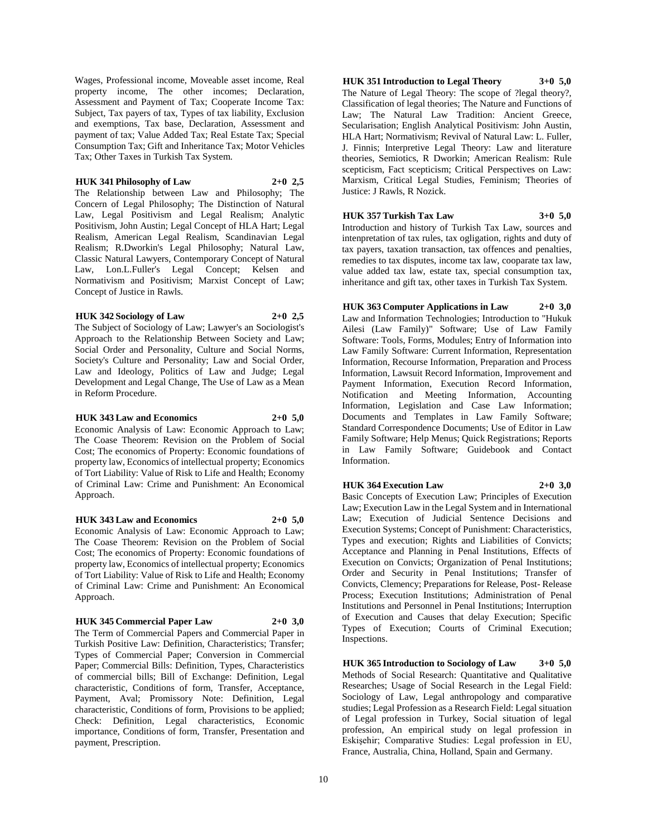Wages, Professional income, Moveable asset income, Real property income, The other incomes; Declaration, Assessment and Payment of Tax; Cooperate Income Tax: Subject, Tax payers of tax, Types of tax liability, Exclusion and exemptions, Tax base, Declaration, Assessment and payment of tax; Value Added Tax; Real Estate Tax; Special Consumption Tax; Gift and Inheritance Tax; Motor Vehicles Tax; Other Taxes in Turkish Tax System.

#### **HUK 341 Philosophy of Law 2+0 2,5**

The Relationship between Law and Philosophy; The Concern of Legal Philosophy; The Distinction of Natural Law, Legal Positivism and Legal Realism; Analytic Positivism, John Austin; Legal Concept of HLA Hart; Legal Realism, American Legal Realism, Scandinavian Legal Realism; R.Dworkin's Legal Philosophy; Natural Law, Classic Natural Lawyers, Contemporary Concept of Natural Law, Lon.L.Fuller's Legal Concept; Kelsen and Normativism and Positivism; Marxist Concept of Law; Concept of Justice in Rawls.

#### **HUK 342 Sociology of Law 2+0 2,5**

The Subject of Sociology of Law; Lawyer's an Sociologist's Approach to the Relationship Between Society and Law; Social Order and Personality, Culture and Social Norms, Society's Culture and Personality; Law and Social Order, Law and Ideology, Politics of Law and Judge; Legal Development and Legal Change, The Use of Law as a Mean in Reform Procedure.

### **HUK 343 Law and Economics 2+0 5,0**

Economic Analysis of Law: Economic Approach to Law; The Coase Theorem: Revision on the Problem of Social Cost; The economics of Property: Economic foundations of property law, Economics of intellectual property; Economics of Tort Liability: Value of Risk to Life and Health; Economy of Criminal Law: Crime and Punishment: An Economical Approach.

# **HUK 343 Law and Economics 2+0 5,0**

Economic Analysis of Law: Economic Approach to Law; The Coase Theorem: Revision on the Problem of Social Cost; The economics of Property: Economic foundations of property law, Economics of intellectual property; Economics of Tort Liability: Value of Risk to Life and Health; Economy of Criminal Law: Crime and Punishment: An Economical Approach.

#### **HUK 345 Commercial Paper Law 2+0 3,0**

The Term of Commercial Papers and Commercial Paper in Turkish Positive Law: Definition, Characteristics; Transfer; Types of Commercial Paper; Conversion in Commercial Paper; Commercial Bills: Definition, Types, Characteristics of commercial bills; Bill of Exchange: Definition, Legal characteristic, Conditions of form, Transfer, Acceptance, Payment, Aval; Promissory Note: Definition, Legal characteristic, Conditions of form, Provisions to be applied; Check: Definition, Legal characteristics, Economic importance, Conditions of form, Transfer, Presentation and payment, Prescription.

**HUK 351 Introduction to Legal Theory 3+0 5,0** The Nature of Legal Theory: The scope of ?legal theory?, Classification of legal theories; The Nature and Functions of Law; The Natural Law Tradition: Ancient Greece, Secularisation; English Analytical Positivism: John Austin, HLA Hart; Normativism; Revival of Natural Law: L. Fuller, J. Finnis; Interpretive Legal Theory: Law and literature theories, Semiotics, R Dworkin; American Realism: Rule scepticism, Fact scepticism; Critical Perspectives on Law: Marxism, Critical Legal Studies, Feminism; Theories of Justice: J Rawls, R Nozick.

# **HUK 357 Turkish Tax Law 3+0 5,0** Introduction and history of Turkish Tax Law, sources and

intenpretation of tax rules, tax ogligation, rights and duty of tax payers, taxation transaction, tax offences and penalties, remedies to tax disputes, income tax law, cooparate tax law, value added tax law, estate tax, special consumption tax, inheritance and gift tax, other taxes in Turkish Tax System.

#### **HUK 363 Computer Applications in Law 2+0 3,0** Law and Information Technologies; Introduction to "Hukuk

Ailesi (Law Family)" Software; Use of Law Family Software: Tools, Forms, Modules; Entry of Information into Law Family Software: Current Information, Representation Information, Recourse Information, Preparation and Process Information, Lawsuit Record Information, Improvement and Payment Information, Execution Record Information, Notification and Meeting Information, Accounting Information, Legislation and Case Law Information; Documents and Templates in Law Family Software; Standard Correspondence Documents; Use of Editor in Law Family Software; Help Menus; Quick Registrations; Reports in Law Family Software; Guidebook and Contact Information.

# **HUK 364 Execution Law 2+0 3,0**

Basic Concepts of Execution Law; Principles of Execution Law; Execution Law in the Legal System and in International Law; Execution of Judicial Sentence Decisions and Execution Systems; Concept of Punishment: Characteristics, Types and execution; Rights and Liabilities of Convicts; Acceptance and Planning in Penal Institutions, Effects of Execution on Convicts; Organization of Penal Institutions; Order and Security in Penal Institutions; Transfer of Convicts, Clemency; Preparations for Release, Post- Release Process; Execution Institutions; Administration of Penal Institutions and Personnel in Penal Institutions; Interruption of Execution and Causes that delay Execution; Specific Types of Execution; Courts of Criminal Execution; Inspections.

**HUK 365 Introduction to Sociology of Law 3+0 5,0** Methods of Social Research: Quantitative and Qualitative Researches; Usage of Social Research in the Legal Field: Sociology of Law, Legal anthropology and comparative studies; Legal Profession as a Research Field: Legal situation of Legal profession in Turkey, Social situation of legal profession, An empirical study on legal profession in Eskişehir; Comparative Studies: Legal profession in EU, France, Australia, China, Holland, Spain and Germany.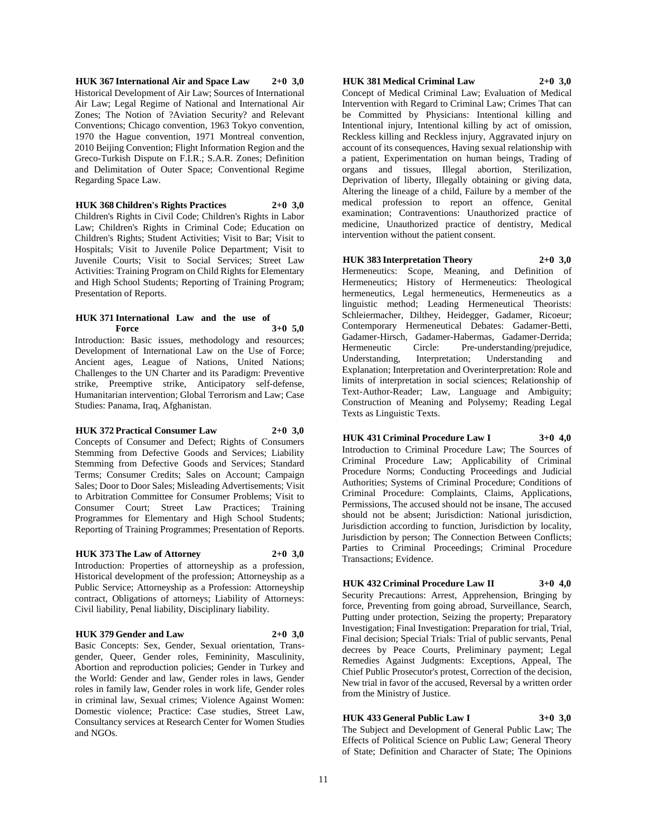**HUK 367 International Air and Space Law 2+0 3,0** Historical Development of Air Law; Sources of International Air Law; Legal Regime of National and International Air Zones; The Notion of ?Aviation Security? and Relevant Conventions; Chicago convention, 1963 Tokyo convention, 1970 the Hague convention, 1971 Montreal convention, 2010 Beijing Convention; Flight Information Region and the Greco-Turkish Dispute on F.I.R.; S.A.R. Zones; Definition and Delimitation of Outer Space; Conventional Regime Regarding Space Law.

**HUK 368 Children's Rights Practices 2+0 3,0** Children's Rights in Civil Code; Children's Rights in Labor Law; Children's Rights in Criminal Code; Education on Children's Rights; Student Activities; Visit to Bar; Visit to Hospitals; Visit to Juvenile Police Department; Visit to Juvenile Courts; Visit to Social Services; Street Law Activities: Training Program on Child Rights for Elementary and High School Students; Reporting of Training Program; Presentation of Reports.

#### **HUK 371 International Law and the use of Force 3+0 5,0**

Introduction: Basic issues, methodology and resources; Development of International Law on the Use of Force; Ancient ages, League of Nations, United Nations; Challenges to the UN Charter and its Paradigm: Preventive strike, Preemptive strike, Anticipatory self-defense, Humanitarian intervention; Global Terrorism and Law; Case Studies: Panama, Iraq, Afghanistan.

### **HUK 372 Practical Consumer Law 2+0 3,0**

Concepts of Consumer and Defect; Rights of Consumers Stemming from Defective Goods and Services; Liability Stemming from Defective Goods and Services; Standard Terms; Consumer Credits; Sales on Account; Campaign Sales; Door to Door Sales; Misleading Advertisements; Visit to Arbitration Committee for Consumer Problems; Visit to Consumer Court; Street Law Practices; Training Programmes for Elementary and High School Students; Reporting of Training Programmes; Presentation of Reports.

#### **HUK 373 The Law of Attorney 2+0 3,0**

Introduction: Properties of attorneyship as a profession, Historical development of the profession; Attorneyship as a Public Service; Attorneyship as a Profession: Attorneyship contract, Obligations of attorneys; Liability of Attorneys: Civil liability, Penal liability, Disciplinary liability.

### **HUK 379 Gender and Law 2+0 3,0**

Basic Concepts: Sex, Gender, Sexual orientation, Transgender, Queer, Gender roles, Femininity, Masculinity, Abortion and reproduction policies; Gender in Turkey and the World: Gender and law, Gender roles in laws, Gender roles in family law, Gender roles in work life, Gender roles in criminal law, Sexual crimes; Violence Against Women: Domestic violence; Practice: Case studies, Street Law, Consultancy services at Research Center for Women Studies and NGOs.

# **HUK 381 Medical Criminal Law 2+0 3,0**

Concept of Medical Criminal Law; Evaluation of Medical Intervention with Regard to Criminal Law; Crimes That can be Committed by Physicians: Intentional killing and Intentional injury, Intentional killing by act of omission, Reckless killing and Reckless injury, Aggravated injury on account of its consequences, Having sexual relationship with a patient, Experimentation on human beings, Trading of organs and tissues, Illegal abortion, Sterilization, Deprivation of liberty, Illegally obtaining or giving data, Altering the lineage of a child, Failure by a member of the medical profession to report an offence, Genital examination; Contraventions: Unauthorized practice of medicine, Unauthorized practice of dentistry, Medical intervention without the patient consent.

**HUK 383 Interpretation Theory 2+0 3,0** Hermeneutics: Scope, Meaning, and Definition of Hermeneutics; History of Hermeneutics: Theological hermeneutics, Legal hermeneutics, Hermeneutics as a linguistic method; Leading Hermeneutical Theorists: Schleiermacher, Dilthey, Heidegger, Gadamer, Ricoeur; Contemporary Hermeneutical Debates: Gadamer-Betti, Gadamer-Hirsch, Gadamer-Habermas, Gadamer-Derrida; Hermeneutic Circle: Pre-understanding/prejudice, Understanding, Interpretation; Understanding and Explanation; Interpretation and Overinterpretation: Role and limits of interpretation in social sciences; Relationship of Text-Author-Reader; Law, Language and Ambiguity; Construction of Meaning and Polysemy; Reading Legal Texts as Linguistic Texts.

**HUK 431 Criminal Procedure Law I 3+0 4,0** Introduction to Criminal Procedure Law; The Sources of Criminal Procedure Law; Applicability of Criminal Procedure Norms; Conducting Proceedings and Judicial Authorities; Systems of Criminal Procedure; Conditions of Criminal Procedure: Complaints, Claims, Applications, Permissions, The accused should not be insane, The accused should not be absent; Jurisdiction: National jurisdiction, Jurisdiction according to function, Jurisdiction by locality, Jurisdiction by person; The Connection Between Conflicts; Parties to Criminal Proceedings; Criminal Procedure Transactions; Evidence.

# **HUK 432 Criminal Procedure Law II 3+0 4,0**

Security Precautions: Arrest, Apprehension, Bringing by force, Preventing from going abroad, Surveillance, Search, Putting under protection, Seizing the property; Preparatory Investigation; Final Investigation: Preparation for trial, Trial, Final decision; Special Trials: Trial of public servants, Penal decrees by Peace Courts, Preliminary payment; Legal Remedies Against Judgments: Exceptions, Appeal, The Chief Public Prosecutor's protest, Correction of the decision, New trial in favor of the accused, Reversal by a written order from the Ministry of Justice.

# **HUK 433 General Public Law I 3+0 3,0**

The Subject and Development of General Public Law; The Effects of Political Science on Public Law; General Theory of State; Definition and Character of State; The Opinions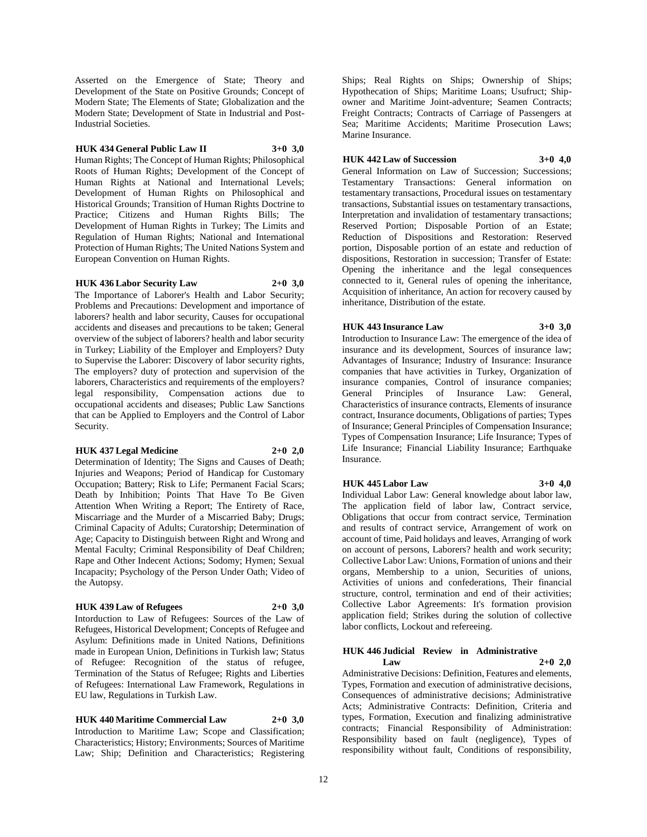Asserted on the Emergence of State; Theory and Development of the State on Positive Grounds; Concept of Modern State; The Elements of State; Globalization and the Modern State; Development of State in Industrial and Post-Industrial Societies.

### **HUK 434 General Public Law II 3+0 3,0**

Human Rights; The Concept of Human Rights; Philosophical Roots of Human Rights; Development of the Concept of Human Rights at National and International Levels; Development of Human Rights on Philosophical and Historical Grounds; Transition of Human Rights Doctrine to Practice; Citizens and Human Rights Bills; The Development of Human Rights in Turkey; The Limits and Regulation of Human Rights; National and International Protection of Human Rights; The United Nations System and European Convention on Human Rights.

#### **HUK 436 Labor Security Law 2+0 3,0**

The Importance of Laborer's Health and Labor Security; Problems and Precautions: Development and importance of laborers? health and labor security, Causes for occupational accidents and diseases and precautions to be taken; General overview of the subject of laborers? health and labor security in Turkey; Liability of the Employer and Employers? Duty to Supervise the Laborer: Discovery of labor security rights, The employers? duty of protection and supervision of the laborers, Characteristics and requirements of the employers? legal responsibility, Compensation actions due to occupational accidents and diseases; Public Law Sanctions that can be Applied to Employers and the Control of Labor Security.

#### **HUK 437 Legal Medicine 2+0 2,0**

Determination of Identity; The Signs and Causes of Death; Injuries and Weapons; Period of Handicap for Customary Occupation; Battery; Risk to Life; Permanent Facial Scars; Death by Inhibition; Points That Have To Be Given Attention When Writing a Report; The Entirety of Race, Miscarriage and the Murder of a Miscarried Baby; Drugs; Criminal Capacity of Adults; Curatorship; Determination of Age; Capacity to Distinguish between Right and Wrong and Mental Faculty; Criminal Responsibility of Deaf Children; Rape and Other Indecent Actions; Sodomy; Hymen; Sexual Incapacity; Psychology of the Person Under Oath; Video of the Autopsy.

# **HUK 439 Law of Refugees 2+0 3,0**

Intorduction to Law of Refugees: Sources of the Law of Refugees, Historical Development; Concepts of Refugee and Asylum: Definitions made in United Nations, Definitions made in European Union, Definitions in Turkish law; Status of Refugee: Recognition of the status of refugee, Termination of the Status of Refugee; Rights and Liberties of Refugees: International Law Framework, Regulations in EU law, Regulations in Turkish Law.

# **HUK 440 Maritime Commercial Law 2+0 3,0**

Introduction to Maritime Law; Scope and Classification; Characteristics; History; Environments; Sources of Maritime Law; Ship; Definition and Characteristics; Registering

Ships; Real Rights on Ships; Ownership of Ships; Hypothecation of Ships; Maritime Loans; Usufruct; Shipowner and Maritime Joint-adventure; Seamen Contracts; Freight Contracts; Contracts of Carriage of Passengers at Sea; Maritime Accidents; Maritime Prosecution Laws; Marine Insurance.

### **HUK 442 Law of Succession 3+0 4,0**

General Information on Law of Succession; Successions; Testamentary Transactions: General information on testamentary transactions, Procedural issues on testamentary transactions, Substantial issues on testamentary transactions, Interpretation and invalidation of testamentary transactions; Reserved Portion; Disposable Portion of an Estate; Reduction of Dispositions and Restoration: Reserved portion, Disposable portion of an estate and reduction of dispositions, Restoration in succession; Transfer of Estate: Opening the inheritance and the legal consequences connected to it, General rules of opening the inheritance, Acquisition of inheritance, An action for recovery caused by inheritance, Distribution of the estate.

# **HUK 443 Insurance Law 3+0 3,0**

Introduction to Insurance Law: The emergence of the idea of insurance and its development, Sources of insurance law; Advantages of Insurance; Industry of Insurance: Insurance companies that have activities in Turkey, Organization of insurance companies, Control of insurance companies; General Principles of Insurance Law: General, Characteristics of insurance contracts, Elements of insurance contract, Insurance documents, Obligations of parties; Types of Insurance; General Principles of Compensation Insurance; Types of Compensation Insurance; Life Insurance; Types of Life Insurance; Financial Liability Insurance; Earthquake Insurance.

#### **HUK 445 Labor Law 3+0 4,0**

Individual Labor Law: General knowledge about labor law, The application field of labor law, Contract service, Obligations that occur from contract service, Termination and results of contract service, Arrangement of work on account of time, Paid holidays and leaves, Arranging of work on account of persons, Laborers? health and work security; Collective Labor Law: Unions, Formation of unions and their organs, Membership to a union, Securities of unions, Activities of unions and confederations, Their financial structure, control, termination and end of their activities; Collective Labor Agreements: It's formation provision application field; Strikes during the solution of collective labor conflicts, Lockout and refereeing.

### **HUK 446 Judicial Review in Administrative Law 2+0 2,0**

Administrative Decisions: Definition, Features and elements, Types, Formation and execution of administrative decisions, Consequences of administrative decisions; Administrative Acts; Administrative Contracts: Definition, Criteria and types, Formation, Execution and finalizing administrative contracts; Financial Responsibility of Administration: Responsibility based on fault (negligence), Types of responsibility without fault, Conditions of responsibility,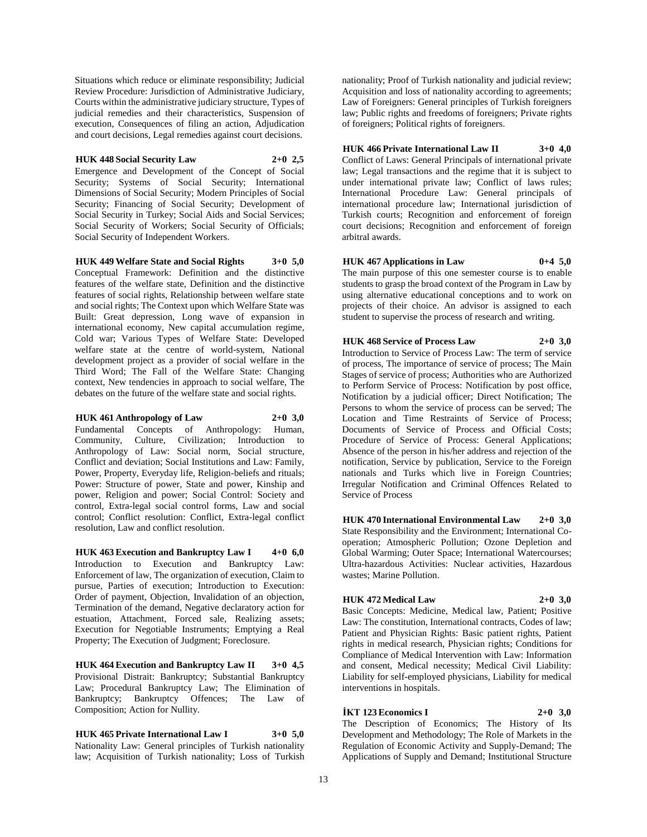Situations which reduce or eliminate responsibility; Judicial Review Procedure: Jurisdiction of Administrative Judiciary, Courts within the administrative judiciary structure, Types of judicial remedies and their characteristics, Suspension of execution, Consequences of filing an action, Adjudication and court decisions, Legal remedies against court decisions.

# **HUK 448 Social Security Law 2+0 2,5**

Emergence and Development of the Concept of Social Security; Systems of Social Security; International Dimensions of Social Security; Modern Principles of Social Security; Financing of Social Security; Development of Social Security in Turkey; Social Aids and Social Services; Social Security of Workers; Social Security of Officials; Social Security of Independent Workers.

**HUK 449 Welfare State and Social Rights 3+0 5,0** Conceptual Framework: Definition and the distinctive features of the welfare state, Definition and the distinctive features of social rights, Relationship between welfare state and social rights; The Context upon which Welfare State was Built: Great depression, Long wave of expansion in international economy, New capital accumulation regime, Cold war; Various Types of Welfare State: Developed welfare state at the centre of world-system, National development project as a provider of social welfare in the Third Word; The Fall of the Welfare State: Changing context, New tendencies in approach to social welfare, The debates on the future of the welfare state and social rights.

**HUK 461 Anthropology of Law 2+0 3,0**

Fundamental Concepts of Anthropology: Human, Community, Culture, Civilization; Introduction to Anthropology of Law: Social norm, Social structure, Conflict and deviation; Social Institutions and Law: Family, Power, Property, Everyday life, Religion-beliefs and rituals; Power: Structure of power, State and power, Kinship and power, Religion and power; Social Control: Society and control, Extra-legal social control forms, Law and social control; Conflict resolution: Conflict, Extra-legal conflict resolution, Law and conflict resolution.

**HUK 463 Execution and Bankruptcy Law I 4+0 6,0** Introduction to Execution and Bankruptcy Law: Enforcement of law, The organization of execution, Claim to pursue, Parties of execution; Introduction to Execution: Order of payment, Objection, Invalidation of an objection, Termination of the demand, Negative declaratory action for estuation, Attachment, Forced sale, Realizing assets; Execution for Negotiable Instruments; Emptying a Real Property; The Execution of Judgment; Foreclosure.

**HUK 464 Execution and Bankruptcy Law II 3+0 4,5** Provisional Distrait: Bankruptcy; Substantial Bankruptcy Law; Procedural Bankruptcy Law; The Elimination of Bankruptcy; Bankruptcy Offences; The Law of Composition; Action for Nullity.

**HUK 465 Private International Law I 3+0 5,0** Nationality Law: General principles of Turkish nationality law; Acquisition of Turkish nationality; Loss of Turkish

nationality; Proof of Turkish nationality and judicial review; Acquisition and loss of nationality according to agreements; Law of Foreigners: General principles of Turkish foreigners law; Public rights and freedoms of foreigners; Private rights of foreigners; Political rights of foreigners.

**HUK 466 Private International Law II 3+0 4,0** Conflict of Laws: General Principals of international private law; Legal transactions and the regime that it is subject to under international private law; Conflict of laws rules; International Procedure Law: General principals of international procedure law; International jurisdiction of Turkish courts; Recognition and enforcement of foreign court decisions; Recognition and enforcement of foreign arbitral awards.

### **HUK 467 Applications in Law 0+4 5,0**

The main purpose of this one semester course is to enable students to grasp the broad context of the Program in Law by using alternative educational conceptions and to work on projects of their choice. An advisor is assigned to each student to supervise the process of research and writing.

**HUK 468 Service of Process Law 2+0 3,0** Introduction to Service of Process Law: The term of service of process, The importance of service of process; The Main Stages of service of process; Authorities who are Authorized to Perform Service of Process: Notification by post office, Notification by a judicial officer; Direct Notification; The Persons to whom the service of process can be served; The Location and Time Restraints of Service of Process; Documents of Service of Process and Official Costs; Procedure of Service of Process: General Applications; Absence of the person in his/her address and rejection of the notification, Service by publication, Service to the Foreign nationals and Turks which live in Foreign Countries; Irregular Notification and Criminal Offences Related to Service of Process

**HUK 470 International Environmental Law 2+0 3,0** State Responsibility and the Environment; International Cooperation; Atmospheric Pollution; Ozone Depletion and Global Warming; Outer Space; International Watercourses; Ultra-hazardous Activities: Nuclear activities, Hazardous wastes; Marine Pollution.

# **HUK 472 Medical Law 2+0 3,0**

Basic Concepts: Medicine, Medical law, Patient; Positive Law: The constitution, International contracts, Codes of law; Patient and Physician Rights: Basic patient rights, Patient rights in medical research, Physician rights; Conditions for Compliance of Medical Intervention with Law: Information and consent, Medical necessity; Medical Civil Liability: Liability for self-employed physicians, Liability for medical interventions in hospitals.

**İKT 123 Economics I 2+0 3,0** The Description of Economics; The History of Its Development and Methodology; The Role of Markets in the Regulation of Economic Activity and Supply-Demand; The Applications of Supply and Demand; Institutional Structure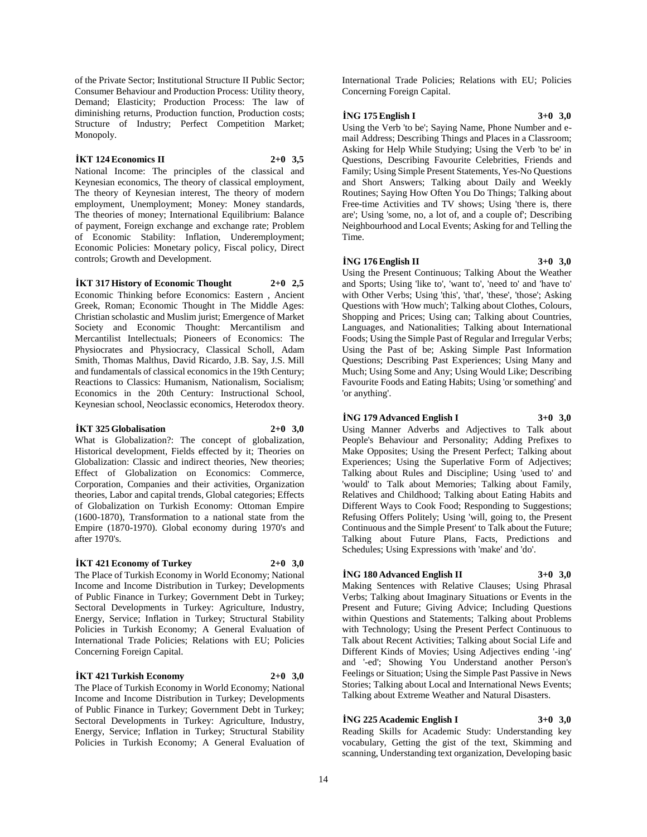of the Private Sector; Institutional Structure II Public Sector; Consumer Behaviour and Production Process: Utility theory, Demand; Elasticity; Production Process: The law of diminishing returns, Production function, Production costs; Structure of Industry; Perfect Competition Market; Monopoly.

### **İKT 124 Economics II 2+0 3,5**

National Income: The principles of the classical and Keynesian economics, The theory of classical employment, The theory of Keynesian interest, The theory of modern employment, Unemployment; Money: Money standards, The theories of money; International Equilibrium: Balance of payment, Foreign exchange and exchange rate; Problem of Economic Stability: Inflation, Underemployment; Economic Policies: Monetary policy, Fiscal policy, Direct controls; Growth and Development.

#### **İKT 317 History of Economic Thought 2+0 2,5**

Economic Thinking before Economics: Eastern , Ancient Greek, Roman; Economic Thought in The Middle Ages: Christian scholastic and Muslim jurist; Emergence of Market Society and Economic Thought: Mercantilism and Mercantilist Intellectuals; Pioneers of Economics: The Physiocrates and Physiocracy, Classical Scholl, Adam Smith, Thomas Malthus, David Ricardo, J.B. Say, J.S. Mill and fundamentals of classical economics in the 19th Century; Reactions to Classics: Humanism, Nationalism, Socialism; Economics in the 20th Century: Instructional School, Keynesian school, Neoclassic economics, Heterodox theory.

#### **İKT 325 Globalisation 2+0 3,0**

What is Globalization?: The concept of globalization, Historical development, Fields effected by it; Theories on Globalization: Classic and indirect theories, New theories; Effect of Globalization on Economics: Commerce, Corporation, Companies and their activities, Organization theories, Labor and capital trends, Global categories; Effects of Globalization on Turkish Economy: Ottoman Empire (1600-1870), Transformation to a national state from the Empire (1870-1970). Global economy during 1970's and after 1970's.

### **İKT 421 Economy of Turkey 2+0 3,0**

The Place of Turkish Economy in World Economy; National Income and Income Distribution in Turkey; Developments of Public Finance in Turkey; Government Debt in Turkey; Sectoral Developments in Turkey: Agriculture, Industry, Energy, Service; Inflation in Turkey; Structural Stability Policies in Turkish Economy; A General Evaluation of International Trade Policies; Relations with EU; Policies Concerning Foreign Capital.

#### **İKT 421 Turkish Economy 2+0 3,0**

The Place of Turkish Economy in World Economy; National Income and Income Distribution in Turkey; Developments of Public Finance in Turkey; Government Debt in Turkey; Sectoral Developments in Turkey: Agriculture, Industry, Energy, Service; Inflation in Turkey; Structural Stability Policies in Turkish Economy; A General Evaluation of

International Trade Policies; Relations with EU; Policies Concerning Foreign Capital.

# **İNG 175 English I 3+0 3,0**

Using the Verb 'to be'; Saying Name, Phone Number and email Address; Describing Things and Places in a Classroom; Asking for Help While Studying; Using the Verb 'to be' in Questions, Describing Favourite Celebrities, Friends and Family; Using Simple Present Statements, Yes-No Questions and Short Answers; Talking about Daily and Weekly Routines; Saying How Often You Do Things; Talking about Free-time Activities and TV shows; Using 'there is, there are'; Using 'some, no, a lot of, and a couple of'; Describing Neighbourhood and Local Events; Asking for and Telling the Time.

# **İNG 176 English II 3+0 3,0**

Using the Present Continuous; Talking About the Weather and Sports; Using 'like to', 'want to', 'need to' and 'have to' with Other Verbs; Using 'this', 'that', 'these', 'those'; Asking Questions with 'How much'; Talking about Clothes, Colours, Shopping and Prices; Using can; Talking about Countries, Languages, and Nationalities; Talking about International Foods; Using the Simple Past of Regular and Irregular Verbs; Using the Past of be; Asking Simple Past Information Questions; Describing Past Experiences; Using Many and Much; Using Some and Any; Using Would Like; Describing Favourite Foods and Eating Habits; Using 'or something' and 'or anything'.

#### **İNG 179 Advanced English I 3+0 3,0**

Using Manner Adverbs and Adjectives to Talk about People's Behaviour and Personality; Adding Prefixes to Make Opposites; Using the Present Perfect; Talking about Experiences; Using the Superlative Form of Adjectives; Talking about Rules and Discipline; Using 'used to' and 'would' to Talk about Memories; Talking about Family, Relatives and Childhood; Talking about Eating Habits and Different Ways to Cook Food; Responding to Suggestions; Refusing Offers Politely; Using 'will, going to, the Present Continuous and the Simple Present' to Talk about the Future; Talking about Future Plans, Facts, Predictions and Schedules; Using Expressions with 'make' and 'do'.

# **İNG 180 Advanced English II 3+0 3,0**

Making Sentences with Relative Clauses; Using Phrasal Verbs; Talking about Imaginary Situations or Events in the Present and Future; Giving Advice; Including Questions within Questions and Statements; Talking about Problems with Technology; Using the Present Perfect Continuous to Talk about Recent Activities; Talking about Social Life and Different Kinds of Movies; Using Adjectives ending '-ing' and '-ed'; Showing You Understand another Person's Feelings or Situation; Using the Simple Past Passive in News Stories; Talking about Local and International News Events; Talking about Extreme Weather and Natural Disasters.

### **İNG 225 Academic English I 3+0 3,0**

Reading Skills for Academic Study: Understanding key vocabulary, Getting the gist of the text, Skimming and scanning, Understanding text organization, Developing basic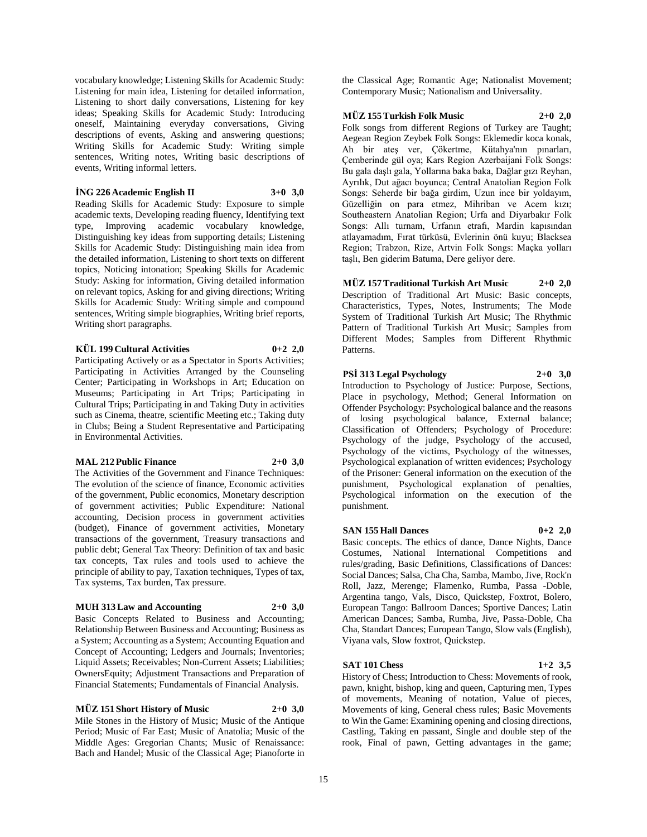vocabulary knowledge; Listening Skills for Academic Study: Listening for main idea, Listening for detailed information, Listening to short daily conversations, Listening for key ideas; Speaking Skills for Academic Study: Introducing oneself, Maintaining everyday conversations, Giving descriptions of events, Asking and answering questions; Writing Skills for Academic Study: Writing simple sentences, Writing notes, Writing basic descriptions of events, Writing informal letters.

**İNG 226 Academic English II 3+0 3,0**

Reading Skills for Academic Study: Exposure to simple academic texts, Developing reading fluency, Identifying text type, Improving academic vocabulary knowledge, Distinguishing key ideas from supporting details; Listening Skills for Academic Study: Distinguishing main idea from the detailed information, Listening to short texts on different topics, Noticing intonation; Speaking Skills for Academic Study: Asking for information, Giving detailed information on relevant topics, Asking for and giving directions; Writing Skills for Academic Study: Writing simple and compound sentences, Writing simple biographies, Writing brief reports, Writing short paragraphs.

# **KÜL 199 Cultural Activities 0+2 2,0**

Participating Actively or as a Spectator in Sports Activities; Participating in Activities Arranged by the Counseling Center; Participating in Workshops in Art; Education on Museums; Participating in Art Trips; Participating in Cultural Trips; Participating in and Taking Duty in activities such as Cinema, theatre, scientific Meeting etc.; Taking duty in Clubs; Being a Student Representative and Participating in Environmental Activities.

### **MAL 212 Public Finance 2+0 3,0**

The Activities of the Government and Finance Techniques: The evolution of the science of finance, Economic activities of the government, Public economics, Monetary description of government activities; Public Expenditure: National accounting, Decision process in government activities (budget), Finance of government activities, Monetary transactions of the government, Treasury transactions and public debt; General Tax Theory: Definition of tax and basic tax concepts, Tax rules and tools used to achieve the principle of ability to pay, Taxation techniques, Types of tax, Tax systems, Tax burden, Tax pressure.

# **MUH 313 Law and Accounting 2+0 3,0**

Basic Concepts Related to Business and Accounting; Relationship Between Business and Accounting; Business as a System; Accounting as a System; Accounting Equation and Concept of Accounting; Ledgers and Journals; Inventories; Liquid Assets; Receivables; Non-Current Assets; Liabilities; OwnersEquity; Adjustment Transactions and Preparation of Financial Statements; Fundamentals of Financial Analysis.

**MÜZ 151 Short History of Music 2+0 3,0** Mile Stones in the History of Music; Music of the Antique Period; Music of Far East; Music of Anatolia; Music of the Middle Ages: Gregorian Chants; Music of Renaissance: Bach and Handel; Music of the Classical Age; Pianoforte in the Classical Age; Romantic Age; Nationalist Movement; Contemporary Music; Nationalism and Universality.

# **MÜZ 155 Turkish Folk Music 2+0 2,0**

Folk songs from different Regions of Turkey are Taught; Aegean Region Zeybek Folk Songs: Eklemedir koca konak, Ah bir ateş ver, Çökertme, Kütahya'nın pınarları, Çemberinde gül oya; Kars Region Azerbaijani Folk Songs: Bu gala daşlı gala, Yollarına baka baka, Dağlar gızı Reyhan, Ayrılık, Dut ağacı boyunca; Central Anatolian Region Folk Songs: Seherde bir bağa girdim, Uzun ince bir yoldayım, Güzelliğin on para etmez, Mihriban ve Acem kızı; Southeastern Anatolian Region; Urfa and Diyarbakır Folk Songs: Allı turnam, Urfanın etrafı, Mardin kapısından atlayamadım, Fırat türküsü, Evlerinin önü kuyu; Blacksea Region; Trabzon, Rize, Artvin Folk Songs: Maçka yolları taşlı, Ben giderim Batuma, Dere geliyor dere.

**MÜZ 157 Traditional Turkish Art Music 2+0 2,0** Description of Traditional Art Music: Basic concepts, Characteristics, Types, Notes, Instruments; The Mode System of Traditional Turkish Art Music; The Rhythmic Pattern of Traditional Turkish Art Music; Samples from Different Modes; Samples from Different Rhythmic Patterns.

# **PSİ 313 Legal Psychology 2+0 3,0**

Introduction to Psychology of Justice: Purpose, Sections, Place in psychology, Method; General Information on Offender Psychology: Psychological balance and the reasons of losing psychological balance, External balance; Classification of Offenders; Psychology of Procedure: Psychology of the judge, Psychology of the accused, Psychology of the victims, Psychology of the witnesses, Psychological explanation of written evidences; Psychology of the Prisoner: General information on the execution of the punishment, Psychological explanation of penalties, Psychological information on the execution of the punishment.

# **SAN 155 Hall Dances 0+2 2,0**

Basic concepts. The ethics of dance, Dance Nights, Dance Costumes, National International Competitions and rules/grading, Basic Definitions, Classifications of Dances: Social Dances; Salsa, Cha Cha, Samba, Mambo, Jive, Rock'n Roll, Jazz, Merenge; Flamenko, Rumba, Passa -Doble, Argentina tango, Vals, Disco, Quickstep, Foxtrot, Bolero, European Tango: Ballroom Dances; Sportive Dances; Latin American Dances; Samba, Rumba, Jive, Passa-Doble, Cha Cha, Standart Dances; European Tango, Slow vals (English), Viyana vals, Slow foxtrot, Quickstep.

# **SAT 101 Chess 1+2 3,5**

History of Chess; Introduction to Chess: Movements of rook, pawn, knight, bishop, king and queen, Capturing men, Types of movements, Meaning of notation, Value of pieces, Movements of king, General chess rules; Basic Movements to Win the Game: Examining opening and closing directions, Castling, Taking en passant, Single and double step of the rook, Final of pawn, Getting advantages in the game;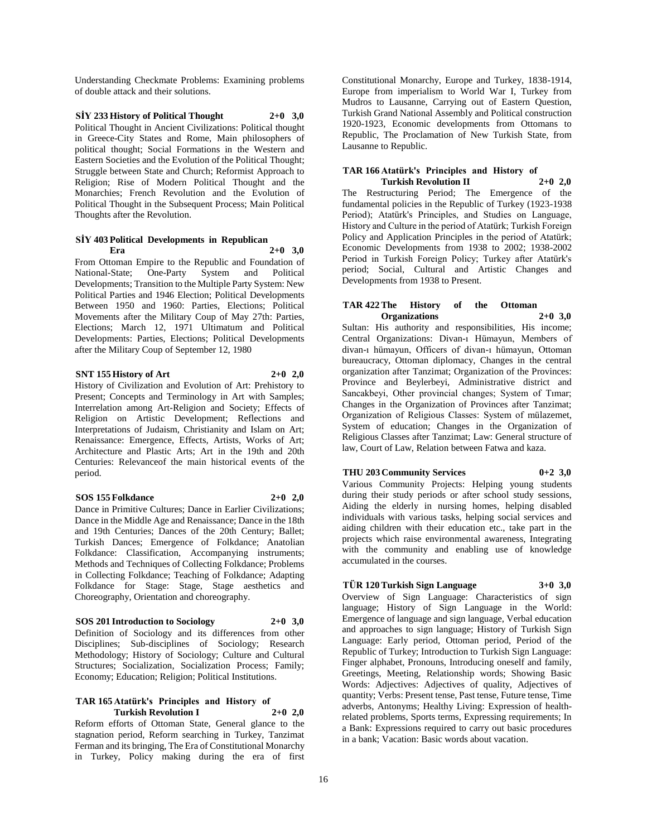Understanding Checkmate Problems: Examining problems of double attack and their solutions.

**SİY 233 History of Political Thought 2+0 3,0** Political Thought in Ancient Civilizations: Political thought in Greece-City States and Rome, Main philosophers of political thought; Social Formations in the Western and Eastern Societies and the Evolution of the Political Thought; Struggle between State and Church; Reformist Approach to Religion; Rise of Modern Political Thought and the Monarchies; French Revolution and the Evolution of Political Thought in the Subsequent Process; Main Political Thoughts after the Revolution.

#### **SİY 403 Political Developments in Republican Era 2+0 3,0**

From Ottoman Empire to the Republic and Foundation of National-State; One-Party System and Political Developments; Transition to the Multiple Party System: New Political Parties and 1946 Election; Political Developments Between 1950 and 1960: Parties, Elections; Political Movements after the Military Coup of May 27th: Parties, Elections; March 12, 1971 Ultimatum and Political Developments: Parties, Elections; Political Developments after the Military Coup of September 12, 1980

# **SNT 155 History of Art 2+0 2,0**

History of Civilization and Evolution of Art: Prehistory to Present; Concepts and Terminology in Art with Samples; Interrelation among Art-Religion and Society; Effects of Religion on Artistic Development; Reflections and Interpretations of Judaism, Christianity and Islam on Art; Renaissance: Emergence, Effects, Artists, Works of Art; Architecture and Plastic Arts; Art in the 19th and 20th Centuries: Relevanceof the main historical events of the period.

# **SOS 155 Folkdance 2+0 2,0**

Dance in Primitive Cultures; Dance in Earlier Civilizations; Dance in the Middle Age and Renaissance; Dance in the 18th and 19th Centuries; Dances of the 20th Century; Ballet; Turkish Dances; Emergence of Folkdance; Anatolian Folkdance: Classification, Accompanying instruments; Methods and Techniques of Collecting Folkdance; Problems in Collecting Folkdance; Teaching of Folkdance; Adapting Folkdance for Stage: Stage, Stage aesthetics and Choreography, Orientation and choreography.

# **SOS 201 Introduction to Sociology 2+0 3,0**

Definition of Sociology and its differences from other Disciplines; Sub-disciplines of Sociology; Research Methodology; History of Sociology; Culture and Cultural Structures; Socialization, Socialization Process; Family; Economy; Education; Religion; Political Institutions.

### **TAR 165 Atatürk's Principles and History of Turkish Revolution I 2+0 2,0**

Reform efforts of Ottoman State, General glance to the stagnation period, Reform searching in Turkey, Tanzimat Ferman and its bringing, The Era of Constitutional Monarchy in Turkey, Policy making during the era of first

Constitutional Monarchy, Europe and Turkey, 1838-1914, Europe from imperialism to World War I, Turkey from Mudros to Lausanne, Carrying out of Eastern Question, Turkish Grand National Assembly and Political construction 1920-1923, Economic developments from Ottomans to Republic, The Proclamation of New Turkish State, from Lausanne to Republic.

### **TAR 166 Atatürk's Principles and History of Turkish Revolution II 2+0 2,0**

The Restructuring Period; The Emergence of the fundamental policies in the Republic of Turkey (1923-1938 Period); Atatürk's Principles, and Studies on Language, History and Culture in the period of Atatürk; Turkish Foreign Policy and Application Principles in the period of Atatürk; Economic Developments from 1938 to 2002; 1938-2002 Period in Turkish Foreign Policy; Turkey after Atatürk's period; Social, Cultural and Artistic Changes and Developments from 1938 to Present.

### **TAR 422 The History of the Ottoman Organizations 2+0 3,0**

Sultan: His authority and responsibilities, His income; Central Organizations: Divan-ı Hümayun, Members of divan-ı hümayun, Officers of divan-ı hümayun, Ottoman bureaucracy, Ottoman diplomacy, Changes in the central organization after Tanzimat; Organization of the Provinces: Province and Beylerbeyi, Administrative district and Sancakbeyi, Other provincial changes; System of Tımar; Changes in the Organization of Provinces after Tanzimat; Organization of Religious Classes: System of mülazemet, System of education; Changes in the Organization of Religious Classes after Tanzimat; Law: General structure of law, Court of Law, Relation between Fatwa and kaza.

# **THU 203 Community Services 0+2 3,0**

Various Community Projects: Helping young students during their study periods or after school study sessions, Aiding the elderly in nursing homes, helping disabled individuals with various tasks, helping social services and aiding children with their education etc., take part in the projects which raise environmental awareness, Integrating with the community and enabling use of knowledge accumulated in the courses.

# **TÜR 120 Turkish Sign Language 3+0 3,0**

Overview of Sign Language: Characteristics of sign language; History of Sign Language in the World: Emergence of language and sign language, Verbal education and approaches to sign language; History of Turkish Sign Language: Early period, Ottoman period, Period of the Republic of Turkey; Introduction to Turkish Sign Language: Finger alphabet, Pronouns, Introducing oneself and family, Greetings, Meeting, Relationship words; Showing Basic Words: Adjectives: Adjectives of quality, Adjectives of quantity; Verbs: Present tense, Past tense, Future tense, Time adverbs, Antonyms; Healthy Living: Expression of healthrelated problems, Sports terms, Expressing requirements; In a Bank: Expressions required to carry out basic procedures in a bank; Vacation: Basic words about vacation.